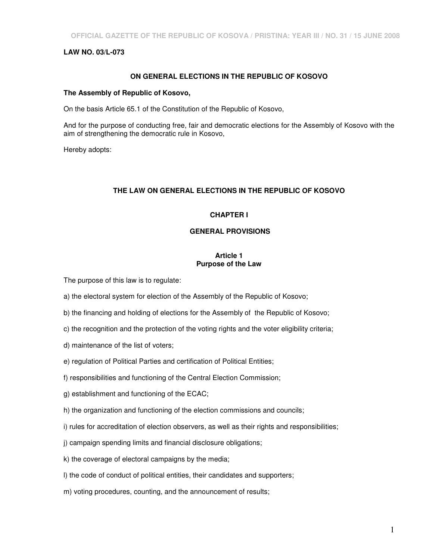# **LAW NO. 03/L-073**

## **ON GENERAL ELECTIONS IN THE REPUBLIC OF KOSOVO**

## **The Assembly of Republic of Kosovo,**

On the basis Article 65.1 of the Constitution of the Republic of Kosovo,

And for the purpose of conducting free, fair and democratic elections for the Assembly of Kosovo with the aim of strengthening the democratic rule in Kosovo,

Hereby adopts:

# **THE LAW ON GENERAL ELECTIONS IN THE REPUBLIC OF KOSOVO**

# **CHAPTER I**

#### **GENERAL PROVISIONS**

#### **Article 1 Purpose of the Law**

The purpose of this law is to regulate:

- a) the electoral system for election of the Assembly of the Republic of Kosovo;
- b) the financing and holding of elections for the Assembly of the Republic of Kosovo;
- c) the recognition and the protection of the voting rights and the voter eligibility criteria;
- d) maintenance of the list of voters;
- e) regulation of Political Parties and certification of Political Entities;
- f) responsibilities and functioning of the Central Election Commission;
- g) establishment and functioning of the ECAC;
- h) the organization and functioning of the election commissions and councils;
- i) rules for accreditation of election observers, as well as their rights and responsibilities;
- j) campaign spending limits and financial disclosure obligations;
- k) the coverage of electoral campaigns by the media;
- l) the code of conduct of political entities, their candidates and supporters;
- m) voting procedures, counting, and the announcement of results;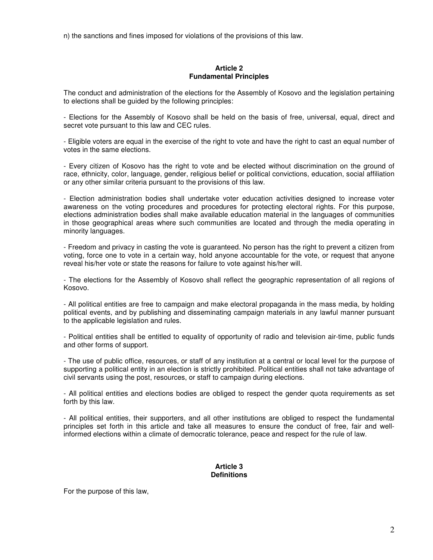n) the sanctions and fines imposed for violations of the provisions of this law.

#### **Article 2 Fundamental Principles**

The conduct and administration of the elections for the Assembly of Kosovo and the legislation pertaining to elections shall be guided by the following principles:

- Elections for the Assembly of Kosovo shall be held on the basis of free, universal, equal, direct and secret vote pursuant to this law and CEC rules.

- Eligible voters are equal in the exercise of the right to vote and have the right to cast an equal number of votes in the same elections.

- Every citizen of Kosovo has the right to vote and be elected without discrimination on the ground of race, ethnicity, color, language, gender, religious belief or political convictions, education, social affiliation or any other similar criteria pursuant to the provisions of this law.

- Election administration bodies shall undertake voter education activities designed to increase voter awareness on the voting procedures and procedures for protecting electoral rights. For this purpose, elections administration bodies shall make available education material in the languages of communities in those geographical areas where such communities are located and through the media operating in minority languages.

- Freedom and privacy in casting the vote is guaranteed. No person has the right to prevent a citizen from voting, force one to vote in a certain way, hold anyone accountable for the vote, or request that anyone reveal his/her vote or state the reasons for failure to vote against his/her will.

- The elections for the Assembly of Kosovo shall reflect the geographic representation of all regions of Kosovo.

- All political entities are free to campaign and make electoral propaganda in the mass media, by holding political events, and by publishing and disseminating campaign materials in any lawful manner pursuant to the applicable legislation and rules.

- Political entities shall be entitled to equality of opportunity of radio and television air-time, public funds and other forms of support.

- The use of public office, resources, or staff of any institution at a central or local level for the purpose of supporting a political entity in an election is strictly prohibited. Political entities shall not take advantage of civil servants using the post, resources, or staff to campaign during elections.

- All political entities and elections bodies are obliged to respect the gender quota requirements as set forth by this law.

- All political entities, their supporters, and all other institutions are obliged to respect the fundamental principles set forth in this article and take all measures to ensure the conduct of free, fair and wellinformed elections within a climate of democratic tolerance, peace and respect for the rule of law.

#### **Article 3 Definitions**

For the purpose of this law,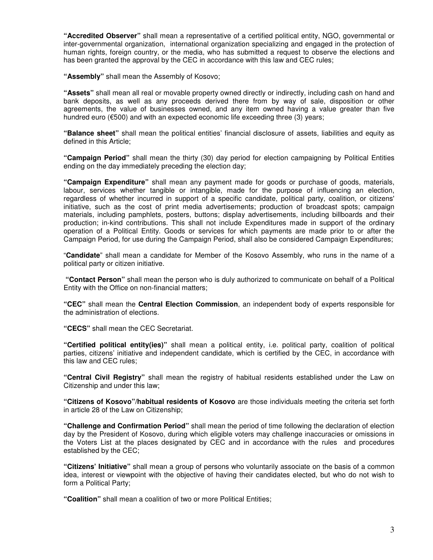**"Accredited Observer"** shall mean a representative of a certified political entity, NGO, governmental or inter-governmental organization, international organization specializing and engaged in the protection of human rights, foreign country, or the media, who has submitted a request to observe the elections and has been granted the approval by the CEC in accordance with this law and CEC rules;

**"Assembly"** shall mean the Assembly of Kosovo;

**"Assets"** shall mean all real or movable property owned directly or indirectly, including cash on hand and bank deposits, as well as any proceeds derived there from by way of sale, disposition or other agreements, the value of businesses owned, and any item owned having a value greater than five hundred euro (€500) and with an expected economic life exceeding three (3) years;

**"Balance sheet"** shall mean the political entities' financial disclosure of assets, liabilities and equity as defined in this Article;

**"Campaign Period"** shall mean the thirty (30) day period for election campaigning by Political Entities ending on the day immediately preceding the election day;

**"Campaign Expenditure"** shall mean any payment made for goods or purchase of goods, materials, labour, services whether tangible or intangible, made for the purpose of influencing an election, regardless of whether incurred in support of a specific candidate, political party, coalition, or citizens' initiative, such as the cost of print media advertisements; production of broadcast spots; campaign materials, including pamphlets, posters, buttons; display advertisements, including billboards and their production; in-kind contributions. This shall not include Expenditures made in support of the ordinary operation of a Political Entity. Goods or services for which payments are made prior to or after the Campaign Period, for use during the Campaign Period, shall also be considered Campaign Expenditures;

"**Candidate**" shall mean a candidate for Member of the Kosovo Assembly, who runs in the name of a political party or citizen initiative.

 **"Contact Person"** shall mean the person who is duly authorized to communicate on behalf of a Political Entity with the Office on non-financial matters;

**"CEC"** shall mean the **Central Election Commission**, an independent body of experts responsible for the administration of elections.

**"CECS"** shall mean the CEC Secretariat.

**"Certified political entity(ies)"** shall mean a political entity, i.e. political party, coalition of political parties, citizens' initiative and independent candidate, which is certified by the CEC, in accordance with this law and CEC rules;

**"Central Civil Registry"** shall mean the registry of habitual residents established under the Law on Citizenship and under this law;

**"Citizens of Kosovo"/habitual residents of Kosovo** are those individuals meeting the criteria set forth in article 28 of the Law on Citizenship;

**"Challenge and Confirmation Period"** shall mean the period of time following the declaration of election day by the President of Kosovo, during which eligible voters may challenge inaccuracies or omissions in the Voters List at the places designated by CEC and in accordance with the rules and procedures established by the CEC;

**"Citizens' Initiative"** shall mean a group of persons who voluntarily associate on the basis of a common idea, interest or viewpoint with the objective of having their candidates elected, but who do not wish to form a Political Party;

**"Coalition"** shall mean a coalition of two or more Political Entities;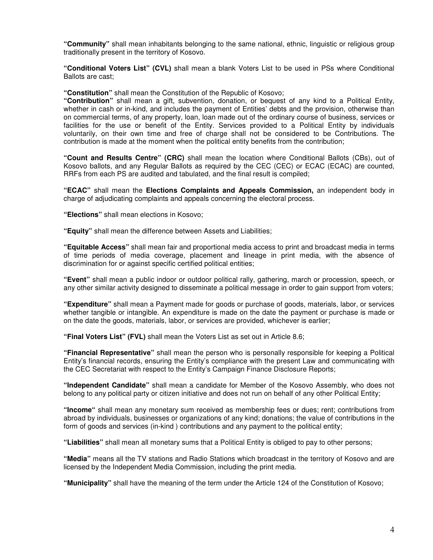**"Community"** shall mean inhabitants belonging to the same national, ethnic, linguistic or religious group traditionally present in the territory of Kosovo.

**"Conditional Voters List" (CVL)** shall mean a blank Voters List to be used in PSs where Conditional Ballots are cast;

**"Constitution"** shall mean the Constitution of the Republic of Kosovo;

**"Contribution"** shall mean a gift, subvention, donation, or bequest of any kind to a Political Entity, whether in cash or in-kind, and includes the payment of Entities' debts and the provision, otherwise than on commercial terms, of any property, loan, loan made out of the ordinary course of business, services or facilities for the use or benefit of the Entity. Services provided to a Political Entity by individuals voluntarily, on their own time and free of charge shall not be considered to be Contributions. The contribution is made at the moment when the political entity benefits from the contribution;

**"Count and Results Centre" (CRC)** shall mean the location where Conditional Ballots (CBs), out of Kosovo ballots, and any Regular Ballots as required by the CEC (CEC) or ECAC (ECAC) are counted, RRFs from each PS are audited and tabulated, and the final result is compiled;

**"ECAC"** shall mean the **Elections Complaints and Appeals Commission,** an independent body in charge of adjudicating complaints and appeals concerning the electoral process.

**"Elections"** shall mean elections in Kosovo;

**"Equity"** shall mean the difference between Assets and Liabilities;

**"Equitable Access"** shall mean fair and proportional media access to print and broadcast media in terms of time periods of media coverage, placement and lineage in print media, with the absence of discrimination for or against specific certified political entities;

**"Event"** shall mean a public indoor or outdoor political rally, gathering, march or procession, speech, or any other similar activity designed to disseminate a political message in order to gain support from voters;

**"Expenditure"** shall mean a Payment made for goods or purchase of goods, materials, labor, or services whether tangible or intangible. An expenditure is made on the date the payment or purchase is made or on the date the goods, materials, labor, or services are provided, whichever is earlier;

**"Final Voters List" (FVL)** shall mean the Voters List as set out in Article 8.6;

**"Financial Representative"** shall mean the person who is personally responsible for keeping a Political Entity's financial records, ensuring the Entity's compliance with the present Law and communicating with the CEC Secretariat with respect to the Entity's Campaign Finance Disclosure Reports;

**"Independent Candidate"** shall mean a candidate for Member of the Kosovo Assembly, who does not belong to any political party or citizen initiative and does not run on behalf of any other Political Entity;

**"Income"** shall mean any monetary sum received as membership fees or dues; rent; contributions from abroad by individuals, businesses or organizations of any kind; donations; the value of contributions in the form of goods and services (in-kind ) contributions and any payment to the political entity;

**"Liabilities"** shall mean all monetary sums that a Political Entity is obliged to pay to other persons;

**"Media"** means all the TV stations and Radio Stations which broadcast in the territory of Kosovo and are licensed by the Independent Media Commission, including the print media.

**"Municipality"** shall have the meaning of the term under the Article 124 of the Constitution of Kosovo;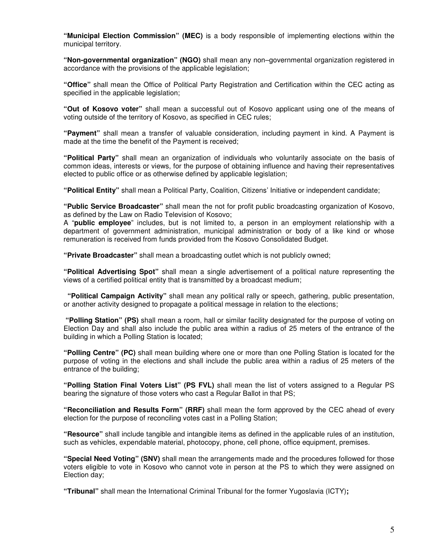**"Municipal Election Commission" (MEC)** is a body responsible of implementing elections within the municipal territory.

**"Non-governmental organization" (NGO)** shall mean any non–governmental organization registered in accordance with the provisions of the applicable legislation;

**"Office"** shall mean the Office of Political Party Registration and Certification within the CEC acting as specified in the applicable legislation;

**"Out of Kosovo voter"** shall mean a successful out of Kosovo applicant using one of the means of voting outside of the territory of Kosovo, as specified in CEC rules;

**"Payment"** shall mean a transfer of valuable consideration, including payment in kind. A Payment is made at the time the benefit of the Payment is received;

**"Political Party"** shall mean an organization of individuals who voluntarily associate on the basis of common ideas, interests or views, for the purpose of obtaining influence and having their representatives elected to public office or as otherwise defined by applicable legislation;

**"Political Entity"** shall mean a Political Party, Coalition, Citizens' Initiative or independent candidate;

**"Public Service Broadcaster"** shall mean the not for profit public broadcasting organization of Kosovo, as defined by the Law on Radio Television of Kosovo;

A "**public employee**" includes, but is not limited to, a person in an employment relationship with a department of government administration, municipal administration or body of a like kind or whose remuneration is received from funds provided from the Kosovo Consolidated Budget.

**"Private Broadcaster"** shall mean a broadcasting outlet which is not publicly owned;

**"Political Advertising Spot"** shall mean a single advertisement of a political nature representing the views of a certified political entity that is transmitted by a broadcast medium;

 **"Political Campaign Activity"** shall mean any political rally or speech, gathering, public presentation, or another activity designed to propagate a political message in relation to the elections;

 **"Polling Station" (PS)** shall mean a room, hall or similar facility designated for the purpose of voting on Election Day and shall also include the public area within a radius of 25 meters of the entrance of the building in which a Polling Station is located;

**"Polling Centre" (PC)** shall mean building where one or more than one Polling Station is located for the purpose of voting in the elections and shall include the public area within a radius of 25 meters of the entrance of the building;

**"Polling Station Final Voters List" (PS FVL)** shall mean the list of voters assigned to a Regular PS bearing the signature of those voters who cast a Regular Ballot in that PS;

**"Reconciliation and Results Form" (RRF)** shall mean the form approved by the CEC ahead of every election for the purpose of reconciling votes cast in a Polling Station;

**"Resource"** shall include tangible and intangible items as defined in the applicable rules of an institution, such as vehicles, expendable material, photocopy, phone, cell phone, office equipment, premises.

**"Special Need Voting" (SNV)** shall mean the arrangements made and the procedures followed for those voters eligible to vote in Kosovo who cannot vote in person at the PS to which they were assigned on Election day;

**"Tribunal"** shall mean the International Criminal Tribunal for the former Yugoslavia (ICTY)**;**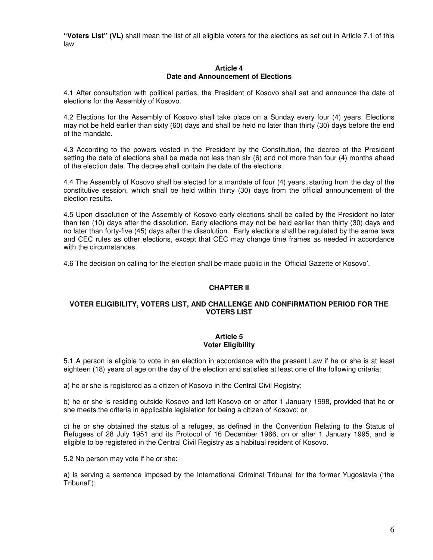**"Voters List" (VL)** shall mean the list of all eligible voters for the elections as set out in Article 7.1 of this law.

#### **Article 4 Date and Announcement of Elections**

4.1 After consultation with political parties, the President of Kosovo shall set and announce the date of elections for the Assembly of Kosovo.

4.2 Elections for the Assembly of Kosovo shall take place on a Sunday every four (4) years. Elections may not be held earlier than sixty (60) days and shall be held no later than thirty (30) days before the end of the mandate.

4.3 According to the powers vested in the President by the Constitution, the decree of the President setting the date of elections shall be made not less than six (6) and not more than four (4) months ahead of the election date. The decree shall contain the date of the elections.

4.4 The Assembly of Kosovo shall be elected for a mandate of four (4) years, starting from the day of the constitutive session, which shall be held within thirty (30) days from the official announcement of the election results.

4.5 Upon dissolution of the Assembly of Kosovo early elections shall be called by the President no later than ten (10) days after the dissolution. Early elections may not be held earlier than thirty (30) days and no later than forty-five (45) days after the dissolution. Early elections shall be regulated by the same laws and CEC rules as other elections, except that CEC may change time frames as needed in accordance with the circumstances.

4.6 The decision on calling for the election shall be made public in the 'Official Gazette of Kosovo'.

## **CHAPTER II**

# **VOTER ELIGIBILITY, VOTERS LIST, AND CHALLENGE AND CONFIRMATION PERIOD FOR THE VOTERS LIST**

#### **Article 5 Voter Eligibility**

5.1 A person is eligible to vote in an election in accordance with the present Law if he or she is at least eighteen (18) years of age on the day of the election and satisfies at least one of the following criteria:

a) he or she is registered as a citizen of Kosovo in the Central Civil Registry;

b) he or she is residing outside Kosovo and left Kosovo on or after 1 January 1998, provided that he or she meets the criteria in applicable legislation for being a citizen of Kosovo; or

c) he or she obtained the status of a refugee, as defined in the Convention Relating to the Status of Refugees of 28 July 1951 and its Protocol of 16 December 1966, on or after 1 January 1995, and is eligible to be registered in the Central Civil Registry as a habitual resident of Kosovo.

5.2 No person may vote if he or she:

a) is serving a sentence imposed by the International Criminal Tribunal for the former Yugoslavia ("the Tribunal");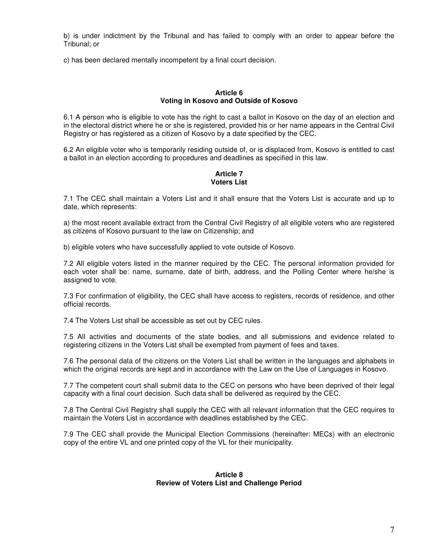b) is under indictment by the Tribunal and has failed to comply with an order to appear before the Tribunal; or

c) has been declared mentally incompetent by a final court decision.

# **Article 6 Voting in Kosovo and Outside of Kosovo**

6.1 A person who is eligible to vote has the right to cast a ballot in Kosovo on the day of an election and in the electoral district where he or she is registered, provided his or her name appears in the Central Civil Registry or has registered as a citizen of Kosovo by a date specified by the CEC.

6.2 An eligible voter who is temporarily residing outside of, or is displaced from, Kosovo is entitled to cast a ballot in an election according to procedures and deadlines as specified in this law.

#### **Article 7 Voters List**

7.1 The CEC shall maintain a Voters List and it shall ensure that the Voters List is accurate and up to date, which represents:

a) the most recent available extract from the Central Civil Registry of all eligible voters who are registered as citizens of Kosovo pursuant to the law on Citizenship; and

b) eligible voters who have successfully applied to vote outside of Kosovo.

7.2 All eligible voters listed in the manner required by the CEC. The personal information provided for each voter shall be: name, surname, date of birth, address, and the Polling Center where he/she is assigned to vote.

7.3 For confirmation of eligibility, the CEC shall have access to registers, records of residence, and other official records.

7.4 The Voters List shall be accessible as set out by CEC rules.

7.5 All activities and documents of the state bodies, and all submissions and evidence related to registering citizens in the Voters List shall be exempted from payment of fees and taxes.

7.6 The personal data of the citizens on the Voters List shall be written in the languages and alphabets in which the original records are kept and in accordance with the Law on the Use of Languages in Kosovo.

7.7 The competent court shall submit data to the CEC on persons who have been deprived of their legal capacity with a final court decision. Such data shall be delivered as required by the CEC.

7.8 The Central Civil Registry shall supply the CEC with all relevant information that the CEC requires to maintain the Voters List in accordance with deadlines established by the CEC.

7.9 The CEC shall provide the Municipal Election Commissions (hereinafter: MECs) with an electronic copy of the entire VL and one printed copy of the VL for their municipality.

#### **Article 8 Review of Voters List and Challenge Period**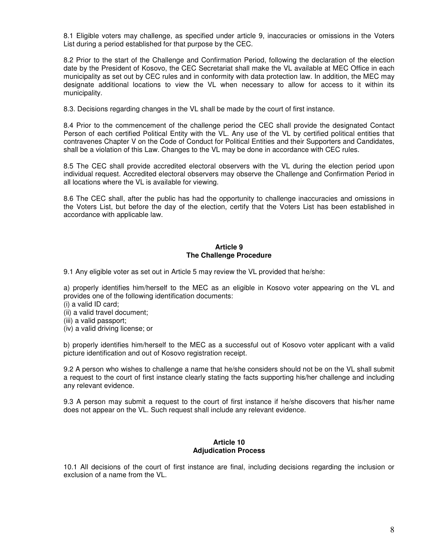8.1 Eligible voters may challenge, as specified under article 9, inaccuracies or omissions in the Voters List during a period established for that purpose by the CEC.

8.2 Prior to the start of the Challenge and Confirmation Period, following the declaration of the election date by the President of Kosovo, the CEC Secretariat shall make the VL available at MEC Office in each municipality as set out by CEC rules and in conformity with data protection law. In addition, the MEC may designate additional locations to view the VL when necessary to allow for access to it within its municipality.

8.3. Decisions regarding changes in the VL shall be made by the court of first instance.

8.4 Prior to the commencement of the challenge period the CEC shall provide the designated Contact Person of each certified Political Entity with the VL. Any use of the VL by certified political entities that contravenes Chapter V on the Code of Conduct for Political Entities and their Supporters and Candidates, shall be a violation of this Law. Changes to the VL may be done in accordance with CEC rules.

8.5 The CEC shall provide accredited electoral observers with the VL during the election period upon individual request. Accredited electoral observers may observe the Challenge and Confirmation Period in all locations where the VL is available for viewing.

8.6 The CEC shall, after the public has had the opportunity to challenge inaccuracies and omissions in the Voters List, but before the day of the election, certify that the Voters List has been established in accordance with applicable law.

#### **Article 9 The Challenge Procedure**

9.1 Any eligible voter as set out in Article 5 may review the VL provided that he/she:

a) properly identifies him/herself to the MEC as an eligible in Kosovo voter appearing on the VL and provides one of the following identification documents:

- (i) a valid ID card;
- (ii) a valid travel document;
- (iii) a valid passport;
- (iv) a valid driving license; or

b) properly identifies him/herself to the MEC as a successful out of Kosovo voter applicant with a valid picture identification and out of Kosovo registration receipt.

9.2 A person who wishes to challenge a name that he/she considers should not be on the VL shall submit a request to the court of first instance clearly stating the facts supporting his/her challenge and including any relevant evidence.

9.3 A person may submit a request to the court of first instance if he/she discovers that his/her name does not appear on the VL. Such request shall include any relevant evidence.

#### **Article 10 Adjudication Process**

10.1 All decisions of the court of first instance are final, including decisions regarding the inclusion or exclusion of a name from the VL.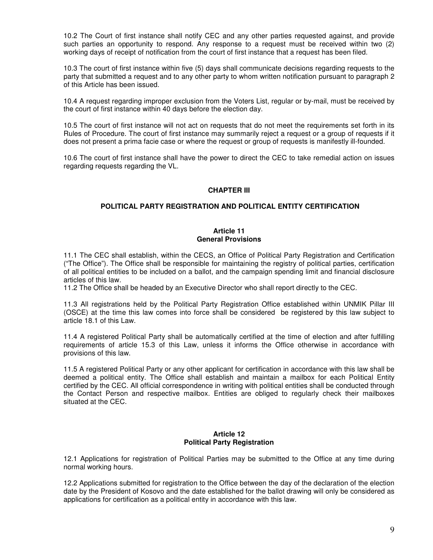10.2 The Court of first instance shall notify CEC and any other parties requested against, and provide such parties an opportunity to respond. Any response to a request must be received within two (2) working days of receipt of notification from the court of first instance that a request has been filed.

10.3 The court of first instance within five (5) days shall communicate decisions regarding requests to the party that submitted a request and to any other party to whom written notification pursuant to paragraph 2 of this Article has been issued.

10.4 A request regarding improper exclusion from the Voters List, regular or by-mail, must be received by the court of first instance within 40 days before the election day.

10.5 The court of first instance will not act on requests that do not meet the requirements set forth in its Rules of Procedure. The court of first instance may summarily reject a request or a group of requests if it does not present a prima facie case or where the request or group of requests is manifestly ill-founded.

10.6 The court of first instance shall have the power to direct the CEC to take remedial action on issues regarding requests regarding the VL.

# **CHAPTER III**

# **POLITICAL PARTY REGISTRATION AND POLITICAL ENTITY CERTIFICATION**

#### **Article 11 General Provisions**

11.1 The CEC shall establish, within the CECS, an Office of Political Party Registration and Certification ("The Office"). The Office shall be responsible for maintaining the registry of political parties, certification of all political entities to be included on a ballot, and the campaign spending limit and financial disclosure articles of this law.

11.2 The Office shall be headed by an Executive Director who shall report directly to the CEC.

11.3 All registrations held by the Political Party Registration Office established within UNMIK Pillar III (OSCE) at the time this law comes into force shall be considered be registered by this law subject to article 18.1 of this Law.

11.4 A registered Political Party shall be automatically certified at the time of election and after fulfilling requirements of article 15.3 of this Law, unless it informs the Office otherwise in accordance with provisions of this law.

11.5 A registered Political Party or any other applicant for certification in accordance with this law shall be deemed a political entity. The Office shall establish and maintain a mailbox for each Political Entity certified by the CEC. All official correspondence in writing with political entities shall be conducted through the Contact Person and respective mailbox. Entities are obliged to regularly check their mailboxes situated at the CEC.

# **Article 12 Political Party Registration**

12.1 Applications for registration of Political Parties may be submitted to the Office at any time during normal working hours.

12.2 Applications submitted for registration to the Office between the day of the declaration of the election date by the President of Kosovo and the date established for the ballot drawing will only be considered as applications for certification as a political entity in accordance with this law.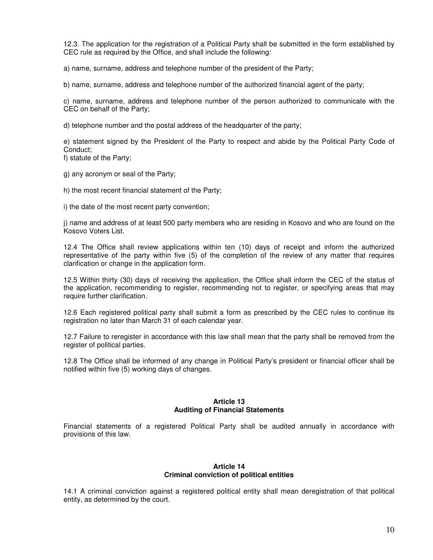12.3. The application for the registration of a Political Party shall be submitted in the form established by CEC rule as required by the Office, and shall include the following:

a) name, surname, address and telephone number of the president of the Party;

b) name, surname, address and telephone number of the authorized financial agent of the party;

c) name, surname, address and telephone number of the person authorized to communicate with the CEC on behalf of the Party;

d) telephone number and the postal address of the headquarter of the party;

e) statement signed by the President of the Party to respect and abide by the Political Party Code of Conduct;

f) statute of the Party;

g) any acronym or seal of the Party;

h) the most recent financial statement of the Party;

i) the date of the most recent party convention;

j) name and address of at least 500 party members who are residing in Kosovo and who are found on the Kosovo Voters List.

12.4 The Office shall review applications within ten (10) days of receipt and inform the authorized representative of the party within five (5) of the completion of the review of any matter that requires clarification or change in the application form.

12.5 Within thirty (30) days of receiving the application, the Office shall inform the CEC of the status of the application, recommending to register, recommending not to register, or specifying areas that may require further clarification.

12.6 Each registered political party shall submit a form as prescribed by the CEC rules to continue its registration no later than March 31 of each calendar year.

12.7 Failure to reregister in accordance with this law shall mean that the party shall be removed from the register of political parties.

12.8 The Office shall be informed of any change in Political Party's president or financial officer shall be notified within five (5) working days of changes.

#### **Article 13 Auditing of Financial Statements**

Financial statements of a registered Political Party shall be audited annually in accordance with provisions of this law.

# **Article 14 Criminal conviction of political entities**

14.1 A criminal conviction against a registered political entity shall mean deregistration of that political entity, as determined by the court.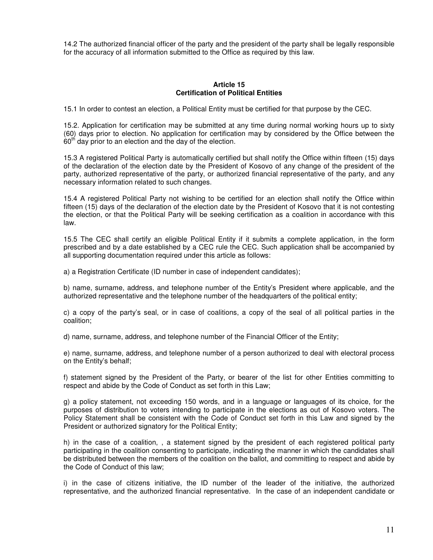14.2 The authorized financial officer of the party and the president of the party shall be legally responsible for the accuracy of all information submitted to the Office as required by this law.

## **Article 15 Certification of Political Entities**

15.1 In order to contest an election, a Political Entity must be certified for that purpose by the CEC.

15.2. Application for certification may be submitted at any time during normal working hours up to sixty (60) days prior to election. No application for certification may by considered by the Office between the  $60<sup>th</sup>$  day prior to an election and the day of the election.

15.3 A registered Political Party is automatically certified but shall notify the Office within fifteen (15) days of the declaration of the election date by the President of Kosovo of any change of the president of the party, authorized representative of the party, or authorized financial representative of the party, and any necessary information related to such changes.

15.4 A registered Political Party not wishing to be certified for an election shall notify the Office within fifteen (15) days of the declaration of the election date by the President of Kosovo that it is not contesting the election, or that the Political Party will be seeking certification as a coalition in accordance with this law.

15.5 The CEC shall certify an eligible Political Entity if it submits a complete application, in the form prescribed and by a date established by a CEC rule the CEC. Such application shall be accompanied by all supporting documentation required under this article as follows:

a) a Registration Certificate (ID number in case of independent candidates);

b) name, surname, address, and telephone number of the Entity's President where applicable, and the authorized representative and the telephone number of the headquarters of the political entity;

c) a copy of the party's seal, or in case of coalitions, a copy of the seal of all political parties in the coalition;

d) name, surname, address, and telephone number of the Financial Officer of the Entity;

e) name, surname, address, and telephone number of a person authorized to deal with electoral process on the Entity's behalf;

f) statement signed by the President of the Party, or bearer of the list for other Entities committing to respect and abide by the Code of Conduct as set forth in this Law;

g) a policy statement, not exceeding 150 words, and in a language or languages of its choice, for the purposes of distribution to voters intending to participate in the elections as out of Kosovo voters. The Policy Statement shall be consistent with the Code of Conduct set forth in this Law and signed by the President or authorized signatory for the Political Entity;

h) in the case of a coalition, , a statement signed by the president of each registered political party participating in the coalition consenting to participate, indicating the manner in which the candidates shall be distributed between the members of the coalition on the ballot, and committing to respect and abide by the Code of Conduct of this law;

i) in the case of citizens initiative, the ID number of the leader of the initiative, the authorized representative, and the authorized financial representative. In the case of an independent candidate or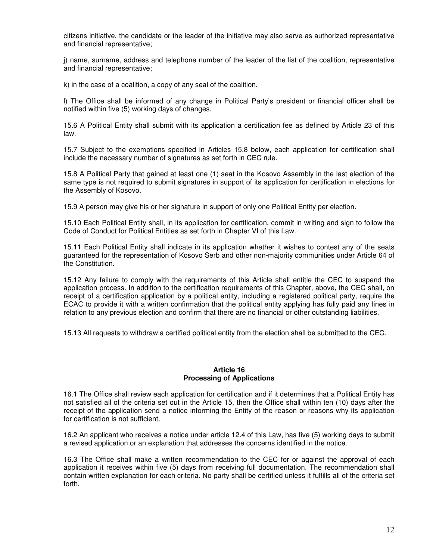citizens initiative, the candidate or the leader of the initiative may also serve as authorized representative and financial representative;

j) name, surname, address and telephone number of the leader of the list of the coalition, representative and financial representative;

k) in the case of a coalition, a copy of any seal of the coalition.

l) The Office shall be informed of any change in Political Party's president or financial officer shall be notified within five (5) working days of changes.

15.6 A Political Entity shall submit with its application a certification fee as defined by Article 23 of this law.

15.7 Subject to the exemptions specified in Articles 15.8 below, each application for certification shall include the necessary number of signatures as set forth in CEC rule.

15.8 A Political Party that gained at least one (1) seat in the Kosovo Assembly in the last election of the same type is not required to submit signatures in support of its application for certification in elections for the Assembly of Kosovo.

15.9 A person may give his or her signature in support of only one Political Entity per election.

15.10 Each Political Entity shall, in its application for certification, commit in writing and sign to follow the Code of Conduct for Political Entities as set forth in Chapter VI of this Law.

15.11 Each Political Entity shall indicate in its application whether it wishes to contest any of the seats guaranteed for the representation of Kosovo Serb and other non-majority communities under Article 64 of the Constitution.

15.12 Any failure to comply with the requirements of this Article shall entitle the CEC to suspend the application process. In addition to the certification requirements of this Chapter, above, the CEC shall, on receipt of a certification application by a political entity, including a registered political party, require the ECAC to provide it with a written confirmation that the political entity applying has fully paid any fines in relation to any previous election and confirm that there are no financial or other outstanding liabilities.

15.13 All requests to withdraw a certified political entity from the election shall be submitted to the CEC.

#### **Article 16 Processing of Applications**

16.1 The Office shall review each application for certification and if it determines that a Political Entity has not satisfied all of the criteria set out in the Article 15, then the Office shall within ten (10) days after the receipt of the application send a notice informing the Entity of the reason or reasons why its application for certification is not sufficient.

16.2 An applicant who receives a notice under article 12.4 of this Law, has five (5) working days to submit a revised application or an explanation that addresses the concerns identified in the notice.

16.3 The Office shall make a written recommendation to the CEC for or against the approval of each application it receives within five (5) days from receiving full documentation. The recommendation shall contain written explanation for each criteria. No party shall be certified unless it fulfills all of the criteria set forth.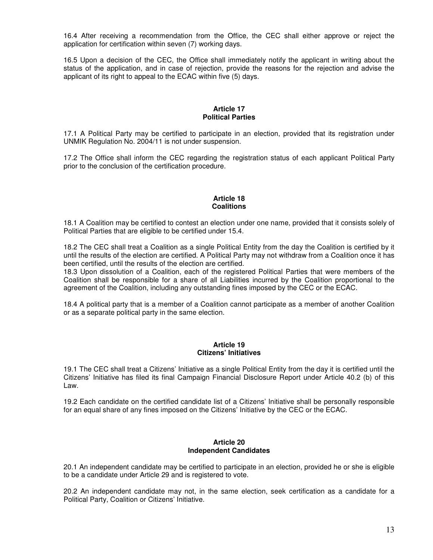16.4 After receiving a recommendation from the Office, the CEC shall either approve or reject the application for certification within seven (7) working days.

16.5 Upon a decision of the CEC, the Office shall immediately notify the applicant in writing about the status of the application, and in case of rejection, provide the reasons for the rejection and advise the applicant of its right to appeal to the ECAC within five (5) days.

#### **Article 17 Political Parties**

17.1 A Political Party may be certified to participate in an election, provided that its registration under UNMIK Regulation No. 2004/11 is not under suspension.

17.2 The Office shall inform the CEC regarding the registration status of each applicant Political Party prior to the conclusion of the certification procedure.

# **Article 18 Coalitions**

18.1 A Coalition may be certified to contest an election under one name, provided that it consists solely of Political Parties that are eligible to be certified under 15.4.

18.2 The CEC shall treat a Coalition as a single Political Entity from the day the Coalition is certified by it until the results of the election are certified. A Political Party may not withdraw from a Coalition once it has been certified, until the results of the election are certified.

18.3 Upon dissolution of a Coalition, each of the registered Political Parties that were members of the Coalition shall be responsible for a share of all Liabilities incurred by the Coalition proportional to the agreement of the Coalition, including any outstanding fines imposed by the CEC or the ECAC.

18.4 A political party that is a member of a Coalition cannot participate as a member of another Coalition or as a separate political party in the same election.

#### **Article 19 Citizens' Initiatives**

19.1 The CEC shall treat a Citizens' Initiative as a single Political Entity from the day it is certified until the Citizens' Initiative has filed its final Campaign Financial Disclosure Report under Article 40.2 (b) of this Law.

19.2 Each candidate on the certified candidate list of a Citizens' Initiative shall be personally responsible for an equal share of any fines imposed on the Citizens' Initiative by the CEC or the ECAC.

#### **Article 20 Independent Candidates**

20.1 An independent candidate may be certified to participate in an election, provided he or she is eligible to be a candidate under Article 29 and is registered to vote.

20.2 An independent candidate may not, in the same election, seek certification as a candidate for a Political Party, Coalition or Citizens' Initiative.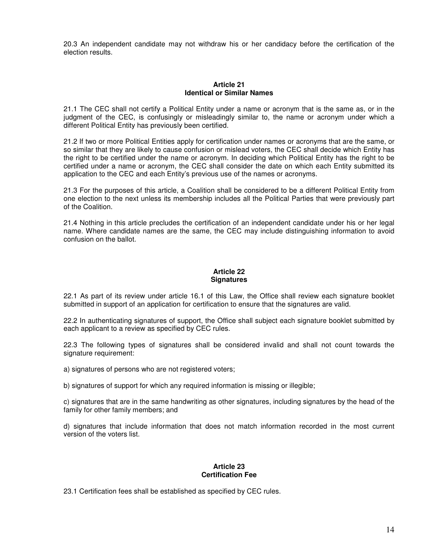20.3 An independent candidate may not withdraw his or her candidacy before the certification of the election results.

#### **Article 21 Identical or Similar Names**

21.1 The CEC shall not certify a Political Entity under a name or acronym that is the same as, or in the judgment of the CEC, is confusingly or misleadingly similar to, the name or acronym under which a different Political Entity has previously been certified.

21.2 If two or more Political Entities apply for certification under names or acronyms that are the same, or so similar that they are likely to cause confusion or mislead voters, the CEC shall decide which Entity has the right to be certified under the name or acronym. In deciding which Political Entity has the right to be certified under a name or acronym, the CEC shall consider the date on which each Entity submitted its application to the CEC and each Entity's previous use of the names or acronyms.

21.3 For the purposes of this article, a Coalition shall be considered to be a different Political Entity from one election to the next unless its membership includes all the Political Parties that were previously part of the Coalition.

21.4 Nothing in this article precludes the certification of an independent candidate under his or her legal name. Where candidate names are the same, the CEC may include distinguishing information to avoid confusion on the ballot.

# **Article 22 Signatures**

22.1 As part of its review under article 16.1 of this Law, the Office shall review each signature booklet submitted in support of an application for certification to ensure that the signatures are valid.

22.2 In authenticating signatures of support, the Office shall subject each signature booklet submitted by each applicant to a review as specified by CEC rules.

22.3 The following types of signatures shall be considered invalid and shall not count towards the signature requirement:

a) signatures of persons who are not registered voters;

b) signatures of support for which any required information is missing or illegible;

c) signatures that are in the same handwriting as other signatures, including signatures by the head of the family for other family members; and

d) signatures that include information that does not match information recorded in the most current version of the voters list.

#### **Article 23 Certification Fee**

23.1 Certification fees shall be established as specified by CEC rules.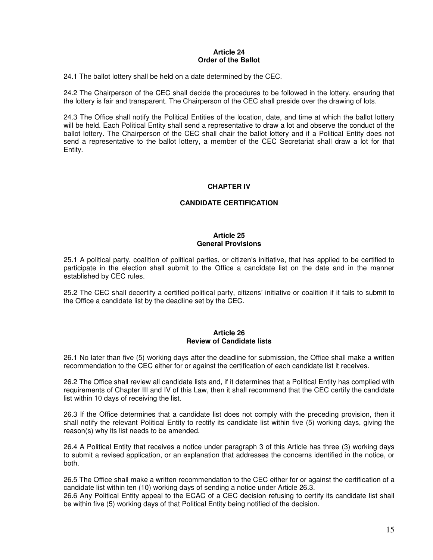#### **Article 24 Order of the Ballot**

24.1 The ballot lottery shall be held on a date determined by the CEC.

24.2 The Chairperson of the CEC shall decide the procedures to be followed in the lottery, ensuring that the lottery is fair and transparent. The Chairperson of the CEC shall preside over the drawing of lots.

24.3 The Office shall notify the Political Entities of the location, date, and time at which the ballot lottery will be held. Each Political Entity shall send a representative to draw a lot and observe the conduct of the ballot lottery. The Chairperson of the CEC shall chair the ballot lottery and if a Political Entity does not send a representative to the ballot lottery, a member of the CEC Secretariat shall draw a lot for that Entity.

# **CHAPTER IV**

# **CANDIDATE CERTIFICATION**

## **Article 25 General Provisions**

25.1 A political party, coalition of political parties, or citizen's initiative, that has applied to be certified to participate in the election shall submit to the Office a candidate list on the date and in the manner established by CEC rules.

25.2 The CEC shall decertify a certified political party, citizens' initiative or coalition if it fails to submit to the Office a candidate list by the deadline set by the CEC.

#### **Article 26 Review of Candidate lists**

26.1 No later than five (5) working days after the deadline for submission, the Office shall make a written recommendation to the CEC either for or against the certification of each candidate list it receives.

26.2 The Office shall review all candidate lists and, if it determines that a Political Entity has complied with requirements of Chapter III and IV of this Law, then it shall recommend that the CEC certify the candidate list within 10 days of receiving the list.

26.3 If the Office determines that a candidate list does not comply with the preceding provision, then it shall notify the relevant Political Entity to rectify its candidate list within five (5) working days, giving the reason(s) why its list needs to be amended.

26.4 A Political Entity that receives a notice under paragraph 3 of this Article has three (3) working days to submit a revised application, or an explanation that addresses the concerns identified in the notice, or both.

26.5 The Office shall make a written recommendation to the CEC either for or against the certification of a candidate list within ten (10) working days of sending a notice under Article 26.3.

26.6 Any Political Entity appeal to the ECAC of a CEC decision refusing to certify its candidate list shall be within five (5) working days of that Political Entity being notified of the decision.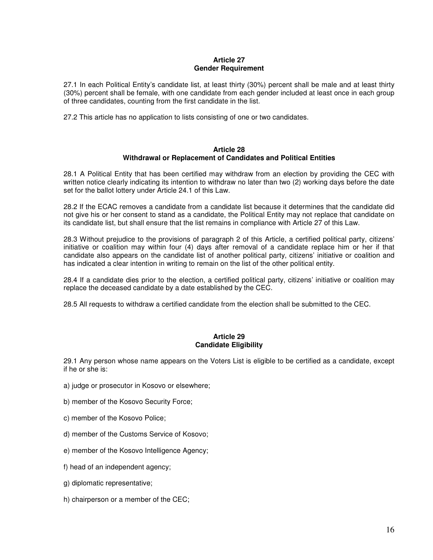## **Article 27 Gender Requirement**

27.1 In each Political Entity's candidate list, at least thirty (30%) percent shall be male and at least thirty (30%) percent shall be female, with one candidate from each gender included at least once in each group of three candidates, counting from the first candidate in the list.

27.2 This article has no application to lists consisting of one or two candidates.

#### **Article 28 Withdrawal or Replacement of Candidates and Political Entities**

28.1 A Political Entity that has been certified may withdraw from an election by providing the CEC with written notice clearly indicating its intention to withdraw no later than two (2) working days before the date set for the ballot lottery under Article 24.1 of this Law.

28.2 If the ECAC removes a candidate from a candidate list because it determines that the candidate did not give his or her consent to stand as a candidate, the Political Entity may not replace that candidate on its candidate list, but shall ensure that the list remains in compliance with Article 27 of this Law.

28.3 Without prejudice to the provisions of paragraph 2 of this Article, a certified political party, citizens' initiative or coalition may within four (4) days after removal of a candidate replace him or her if that candidate also appears on the candidate list of another political party, citizens' initiative or coalition and has indicated a clear intention in writing to remain on the list of the other political entity.

28.4 If a candidate dies prior to the election, a certified political party, citizens' initiative or coalition may replace the deceased candidate by a date established by the CEC.

28.5 All requests to withdraw a certified candidate from the election shall be submitted to the CEC.

# **Article 29 Candidate Eligibility**

29.1 Any person whose name appears on the Voters List is eligible to be certified as a candidate, except if he or she is:

- a) judge or prosecutor in Kosovo or elsewhere;
- b) member of the Kosovo Security Force;
- c) member of the Kosovo Police;
- d) member of the Customs Service of Kosovo;
- e) member of the Kosovo Intelligence Agency;
- f) head of an independent agency;
- g) diplomatic representative;
- h) chairperson or a member of the CEC;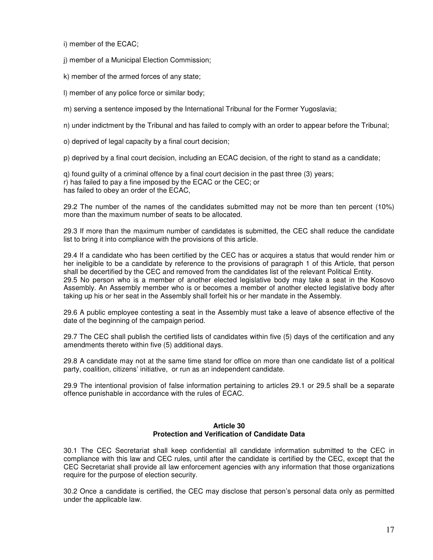i) member of the ECAC;

j) member of a Municipal Election Commission;

k) member of the armed forces of any state;

l) member of any police force or similar body;

m) serving a sentence imposed by the International Tribunal for the Former Yugoslavia;

n) under indictment by the Tribunal and has failed to comply with an order to appear before the Tribunal;

o) deprived of legal capacity by a final court decision;

p) deprived by a final court decision, including an ECAC decision, of the right to stand as a candidate;

q) found guilty of a criminal offence by a final court decision in the past three (3) years; r) has failed to pay a fine imposed by the ECAC or the CEC; or has failed to obey an order of the ECAC,

29.2 The number of the names of the candidates submitted may not be more than ten percent (10%) more than the maximum number of seats to be allocated.

29.3 If more than the maximum number of candidates is submitted, the CEC shall reduce the candidate list to bring it into compliance with the provisions of this article.

29.4 If a candidate who has been certified by the CEC has or acquires a status that would render him or her ineligible to be a candidate by reference to the provisions of paragraph 1 of this Article, that person shall be decertified by the CEC and removed from the candidates list of the relevant Political Entity. 29.5 No person who is a member of another elected legislative body may take a seat in the Kosovo Assembly. An Assembly member who is or becomes a member of another elected legislative body after taking up his or her seat in the Assembly shall forfeit his or her mandate in the Assembly.

29.6 A public employee contesting a seat in the Assembly must take a leave of absence effective of the date of the beginning of the campaign period.

29.7 The CEC shall publish the certified lists of candidates within five (5) days of the certification and any amendments thereto within five (5) additional days.

29.8 A candidate may not at the same time stand for office on more than one candidate list of a political party, coalition, citizens' initiative, or run as an independent candidate.

29.9 The intentional provision of false information pertaining to articles 29.1 or 29.5 shall be a separate offence punishable in accordance with the rules of ECAC.

#### **Article 30 Protection and Verification of Candidate Data**

30.1 The CEC Secretariat shall keep confidential all candidate information submitted to the CEC in compliance with this law and CEC rules, until after the candidate is certified by the CEC, except that the CEC Secretariat shall provide all law enforcement agencies with any information that those organizations require for the purpose of election security.

30.2 Once a candidate is certified, the CEC may disclose that person's personal data only as permitted under the applicable law.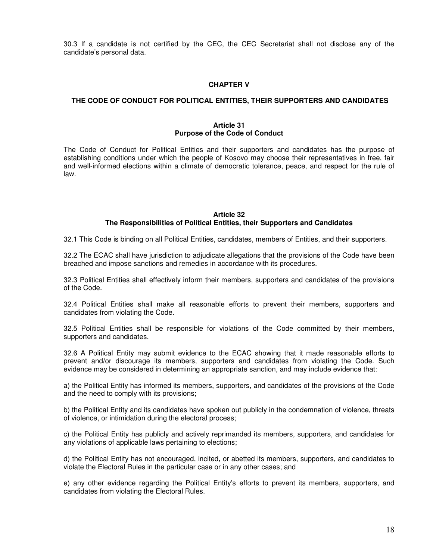30.3 If a candidate is not certified by the CEC, the CEC Secretariat shall not disclose any of the candidate's personal data.

## **CHAPTER V**

## **THE CODE OF CONDUCT FOR POLITICAL ENTITIES, THEIR SUPPORTERS AND CANDIDATES**

#### **Article 31 Purpose of the Code of Conduct**

The Code of Conduct for Political Entities and their supporters and candidates has the purpose of establishing conditions under which the people of Kosovo may choose their representatives in free, fair and well-informed elections within a climate of democratic tolerance, peace, and respect for the rule of law.

# **Article 32 The Responsibilities of Political Entities, their Supporters and Candidates**

32.1 This Code is binding on all Political Entities, candidates, members of Entities, and their supporters.

32.2 The ECAC shall have jurisdiction to adjudicate allegations that the provisions of the Code have been breached and impose sanctions and remedies in accordance with its procedures.

32.3 Political Entities shall effectively inform their members, supporters and candidates of the provisions of the Code.

32.4 Political Entities shall make all reasonable efforts to prevent their members, supporters and candidates from violating the Code.

32.5 Political Entities shall be responsible for violations of the Code committed by their members, supporters and candidates.

32.6 A Political Entity may submit evidence to the ECAC showing that it made reasonable efforts to prevent and/or discourage its members, supporters and candidates from violating the Code. Such evidence may be considered in determining an appropriate sanction, and may include evidence that:

a) the Political Entity has informed its members, supporters, and candidates of the provisions of the Code and the need to comply with its provisions;

b) the Political Entity and its candidates have spoken out publicly in the condemnation of violence, threats of violence, or intimidation during the electoral process;

c) the Political Entity has publicly and actively reprimanded its members, supporters, and candidates for any violations of applicable laws pertaining to elections;

d) the Political Entity has not encouraged, incited, or abetted its members, supporters, and candidates to violate the Electoral Rules in the particular case or in any other cases; and

e) any other evidence regarding the Political Entity's efforts to prevent its members, supporters, and candidates from violating the Electoral Rules.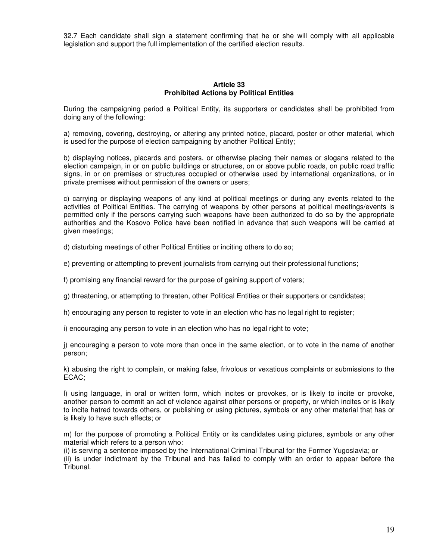32.7 Each candidate shall sign a statement confirming that he or she will comply with all applicable legislation and support the full implementation of the certified election results.

# **Article 33 Prohibited Actions by Political Entities**

During the campaigning period a Political Entity, its supporters or candidates shall be prohibited from doing any of the following:

a) removing, covering, destroying, or altering any printed notice, placard, poster or other material, which is used for the purpose of election campaigning by another Political Entity;

b) displaying notices, placards and posters, or otherwise placing their names or slogans related to the election campaign, in or on public buildings or structures, on or above public roads, on public road traffic signs, in or on premises or structures occupied or otherwise used by international organizations, or in private premises without permission of the owners or users;

c) carrying or displaying weapons of any kind at political meetings or during any events related to the activities of Political Entities. The carrying of weapons by other persons at political meetings/events is permitted only if the persons carrying such weapons have been authorized to do so by the appropriate authorities and the Kosovo Police have been notified in advance that such weapons will be carried at given meetings;

d) disturbing meetings of other Political Entities or inciting others to do so;

e) preventing or attempting to prevent journalists from carrying out their professional functions;

f) promising any financial reward for the purpose of gaining support of voters;

g) threatening, or attempting to threaten, other Political Entities or their supporters or candidates;

h) encouraging any person to register to vote in an election who has no legal right to register;

i) encouraging any person to vote in an election who has no legal right to vote;

j) encouraging a person to vote more than once in the same election, or to vote in the name of another person;

k) abusing the right to complain, or making false, frivolous or vexatious complaints or submissions to the ECAC;

l) using language, in oral or written form, which incites or provokes, or is likely to incite or provoke, another person to commit an act of violence against other persons or property, or which incites or is likely to incite hatred towards others, or publishing or using pictures, symbols or any other material that has or is likely to have such effects; or

m) for the purpose of promoting a Political Entity or its candidates using pictures, symbols or any other material which refers to a person who:

(i) is serving a sentence imposed by the International Criminal Tribunal for the Former Yugoslavia; or (ii) is under indictment by the Tribunal and has failed to comply with an order to appear before the Tribunal.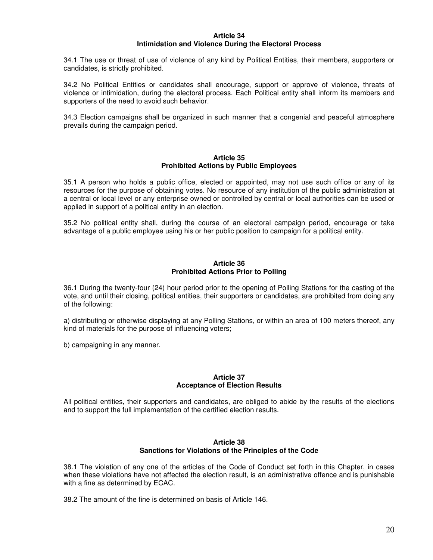## **Article 34 Intimidation and Violence During the Electoral Process**

34.1 The use or threat of use of violence of any kind by Political Entities, their members, supporters or candidates, is strictly prohibited.

34.2 No Political Entities or candidates shall encourage, support or approve of violence, threats of violence or intimidation, during the electoral process. Each Political entity shall inform its members and supporters of the need to avoid such behavior.

34.3 Election campaigns shall be organized in such manner that a congenial and peaceful atmosphere prevails during the campaign period.

#### **Article 35 Prohibited Actions by Public Employees**

35.1 A person who holds a public office, elected or appointed, may not use such office or any of its resources for the purpose of obtaining votes. No resource of any institution of the public administration at a central or local level or any enterprise owned or controlled by central or local authorities can be used or applied in support of a political entity in an election.

35.2 No political entity shall, during the course of an electoral campaign period, encourage or take advantage of a public employee using his or her public position to campaign for a political entity.

#### **Article 36 Prohibited Actions Prior to Polling**

36.1 During the twenty-four (24) hour period prior to the opening of Polling Stations for the casting of the vote, and until their closing, political entities, their supporters or candidates, are prohibited from doing any of the following:

a) distributing or otherwise displaying at any Polling Stations, or within an area of 100 meters thereof, any kind of materials for the purpose of influencing voters;

b) campaigning in any manner.

#### **Article 37 Acceptance of Election Results**

All political entities, their supporters and candidates, are obliged to abide by the results of the elections and to support the full implementation of the certified election results.

#### **Article 38 Sanctions for Violations of the Principles of the Code**

38.1 The violation of any one of the articles of the Code of Conduct set forth in this Chapter, in cases when these violations have not affected the election result, is an administrative offence and is punishable with a fine as determined by ECAC.

38.2 The amount of the fine is determined on basis of Article 146.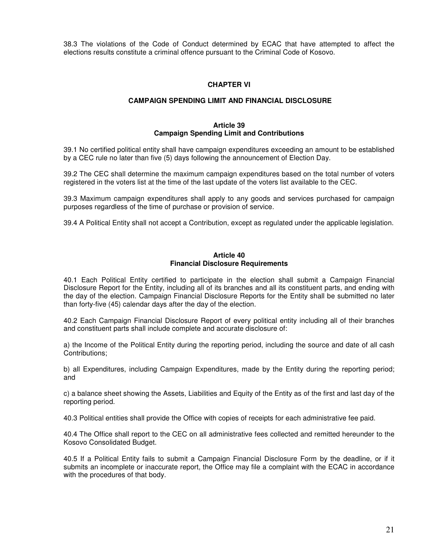38.3 The violations of the Code of Conduct determined by ECAC that have attempted to affect the elections results constitute a criminal offence pursuant to the Criminal Code of Kosovo.

# **CHAPTER VI**

# **CAMPAIGN SPENDING LIMIT AND FINANCIAL DISCLOSURE**

#### **Article 39 Campaign Spending Limit and Contributions**

39.1 No certified political entity shall have campaign expenditures exceeding an amount to be established by a CEC rule no later than five (5) days following the announcement of Election Day.

39.2 The CEC shall determine the maximum campaign expenditures based on the total number of voters registered in the voters list at the time of the last update of the voters list available to the CEC.

39.3 Maximum campaign expenditures shall apply to any goods and services purchased for campaign purposes regardless of the time of purchase or provision of service.

39.4 A Political Entity shall not accept a Contribution, except as regulated under the applicable legislation.

#### **Article 40 Financial Disclosure Requirements**

40.1 Each Political Entity certified to participate in the election shall submit a Campaign Financial Disclosure Report for the Entity, including all of its branches and all its constituent parts, and ending with the day of the election. Campaign Financial Disclosure Reports for the Entity shall be submitted no later than forty-five (45) calendar days after the day of the election.

40.2 Each Campaign Financial Disclosure Report of every political entity including all of their branches and constituent parts shall include complete and accurate disclosure of:

a) the Income of the Political Entity during the reporting period, including the source and date of all cash Contributions;

b) all Expenditures, including Campaign Expenditures, made by the Entity during the reporting period; and

c) a balance sheet showing the Assets, Liabilities and Equity of the Entity as of the first and last day of the reporting period.

40.3 Political entities shall provide the Office with copies of receipts for each administrative fee paid.

40.4 The Office shall report to the CEC on all administrative fees collected and remitted hereunder to the Kosovo Consolidated Budget.

40.5 If a Political Entity fails to submit a Campaign Financial Disclosure Form by the deadline, or if it submits an incomplete or inaccurate report, the Office may file a complaint with the ECAC in accordance with the procedures of that body.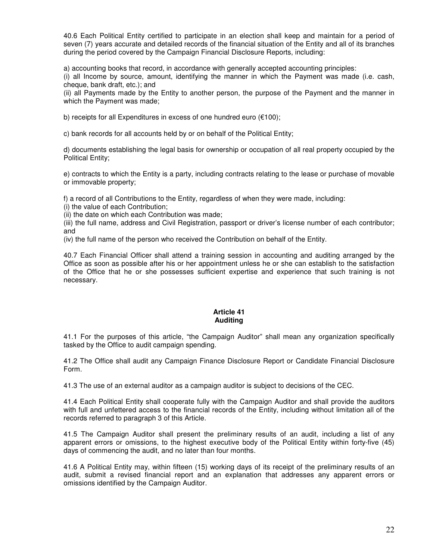40.6 Each Political Entity certified to participate in an election shall keep and maintain for a period of seven (7) years accurate and detailed records of the financial situation of the Entity and all of its branches during the period covered by the Campaign Financial Disclosure Reports, including:

a) accounting books that record, in accordance with generally accepted accounting principles:

(i) all Income by source, amount, identifying the manner in which the Payment was made (i.e. cash, cheque, bank draft, etc.); and

(ii) all Payments made by the Entity to another person, the purpose of the Payment and the manner in which the Payment was made;

b) receipts for all Expenditures in excess of one hundred euro (€100);

c) bank records for all accounts held by or on behalf of the Political Entity;

d) documents establishing the legal basis for ownership or occupation of all real property occupied by the Political Entity;

e) contracts to which the Entity is a party, including contracts relating to the lease or purchase of movable or immovable property;

f) a record of all Contributions to the Entity, regardless of when they were made, including:

(i) the value of each Contribution;

(ii) the date on which each Contribution was made;

(iii) the full name, address and Civil Registration, passport or driver's license number of each contributor; and

(iv) the full name of the person who received the Contribution on behalf of the Entity.

40.7 Each Financial Officer shall attend a training session in accounting and auditing arranged by the Office as soon as possible after his or her appointment unless he or she can establish to the satisfaction of the Office that he or she possesses sufficient expertise and experience that such training is not necessary.

#### **Article 41 Auditing**

41.1 For the purposes of this article, "the Campaign Auditor" shall mean any organization specifically tasked by the Office to audit campaign spending.

41.2 The Office shall audit any Campaign Finance Disclosure Report or Candidate Financial Disclosure Form.

41.3 The use of an external auditor as a campaign auditor is subject to decisions of the CEC.

41.4 Each Political Entity shall cooperate fully with the Campaign Auditor and shall provide the auditors with full and unfettered access to the financial records of the Entity, including without limitation all of the records referred to paragraph 3 of this Article.

41.5 The Campaign Auditor shall present the preliminary results of an audit, including a list of any apparent errors or omissions, to the highest executive body of the Political Entity within forty-five (45) days of commencing the audit, and no later than four months.

41.6 A Political Entity may, within fifteen (15) working days of its receipt of the preliminary results of an audit, submit a revised financial report and an explanation that addresses any apparent errors or omissions identified by the Campaign Auditor.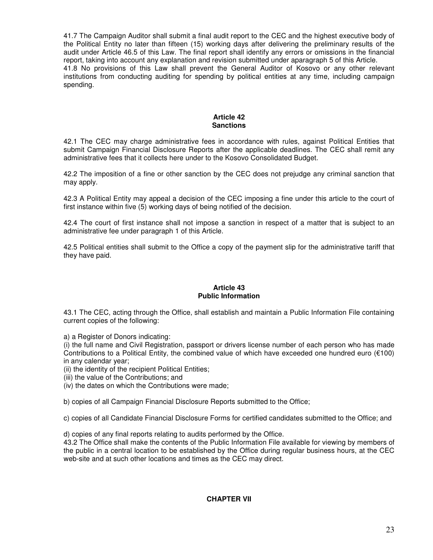41.7 The Campaign Auditor shall submit a final audit report to the CEC and the highest executive body of the Political Entity no later than fifteen (15) working days after delivering the preliminary results of the audit under Article 46.5 of this Law. The final report shall identify any errors or omissions in the financial report, taking into account any explanation and revision submitted under aparagraph 5 of this Article. 41.8 No provisions of this Law shall prevent the General Auditor of Kosovo or any other relevant institutions from conducting auditing for spending by political entities at any time, including campaign spending.

#### **Article 42 Sanctions**

42.1 The CEC may charge administrative fees in accordance with rules, against Political Entities that submit Campaign Financial Disclosure Reports after the applicable deadlines. The CEC shall remit any administrative fees that it collects here under to the Kosovo Consolidated Budget.

42.2 The imposition of a fine or other sanction by the CEC does not prejudge any criminal sanction that may apply.

42.3 A Political Entity may appeal a decision of the CEC imposing a fine under this article to the court of first instance within five (5) working days of being notified of the decision.

42.4 The court of first instance shall not impose a sanction in respect of a matter that is subject to an administrative fee under paragraph 1 of this Article.

42.5 Political entities shall submit to the Office a copy of the payment slip for the administrative tariff that they have paid.

# **Article 43 Public Information**

43.1 The CEC, acting through the Office, shall establish and maintain a Public Information File containing current copies of the following:

a) a Register of Donors indicating:

(i) the full name and Civil Registration, passport or drivers license number of each person who has made Contributions to a Political Entity, the combined value of which have exceeded one hundred euro (€100) in any calendar year;

(ii) the identity of the recipient Political Entities;

(iii) the value of the Contributions; and

(iv) the dates on which the Contributions were made;

b) copies of all Campaign Financial Disclosure Reports submitted to the Office;

c) copies of all Candidate Financial Disclosure Forms for certified candidates submitted to the Office; and

d) copies of any final reports relating to audits performed by the Office.

43.2 The Office shall make the contents of the Public Information File available for viewing by members of the public in a central location to be established by the Office during regular business hours, at the CEC web-site and at such other locations and times as the CEC may direct.

# **CHAPTER VII**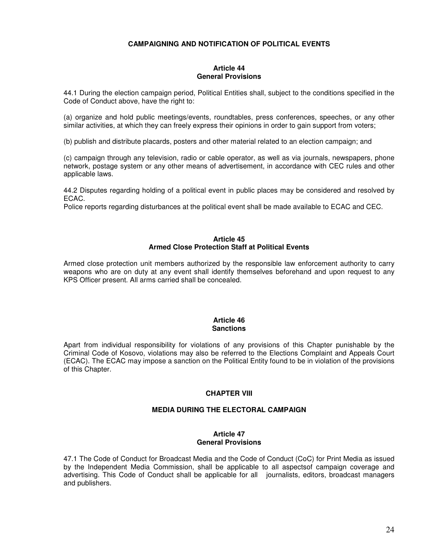# **CAMPAIGNING AND NOTIFICATION OF POLITICAL EVENTS**

# **Article 44 General Provisions**

44.1 During the election campaign period, Political Entities shall, subject to the conditions specified in the Code of Conduct above, have the right to:

(a) organize and hold public meetings/events, roundtables, press conferences, speeches, or any other similar activities, at which they can freely express their opinions in order to gain support from voters;

(b) publish and distribute placards, posters and other material related to an election campaign; and

(c) campaign through any television, radio or cable operator, as well as via journals, newspapers, phone network, postage system or any other means of advertisement, in accordance with CEC rules and other applicable laws.

44.2 Disputes regarding holding of a political event in public places may be considered and resolved by ECAC.

Police reports regarding disturbances at the political event shall be made available to ECAC and CEC.

# **Article 45 Armed Close Protection Staff at Political Events**

Armed close protection unit members authorized by the responsible law enforcement authority to carry weapons who are on duty at any event shall identify themselves beforehand and upon request to any KPS Officer present. All arms carried shall be concealed.

#### **Article 46 Sanctions**

Apart from individual responsibility for violations of any provisions of this Chapter punishable by the Criminal Code of Kosovo, violations may also be referred to the Elections Complaint and Appeals Court (ECAC). The ECAC may impose a sanction on the Political Entity found to be in violation of the provisions of this Chapter.

## **CHAPTER VIII**

# **MEDIA DURING THE ELECTORAL CAMPAIGN**

# **Article 47 General Provisions**

47.1 The Code of Conduct for Broadcast Media and the Code of Conduct (CoC) for Print Media as issued by the Independent Media Commission, shall be applicable to all aspectsof campaign coverage and advertising. This Code of Conduct shall be applicable for all journalists, editors, broadcast managers and publishers.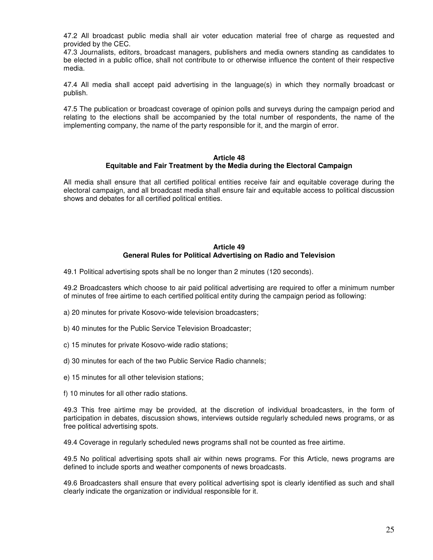47.2 All broadcast public media shall air voter education material free of charge as requested and provided by the CEC.

47.3 Journalists, editors, broadcast managers, publishers and media owners standing as candidates to be elected in a public office, shall not contribute to or otherwise influence the content of their respective media.

47.4 All media shall accept paid advertising in the language(s) in which they normally broadcast or publish.

47.5 The publication or broadcast coverage of opinion polls and surveys during the campaign period and relating to the elections shall be accompanied by the total number of respondents, the name of the implementing company, the name of the party responsible for it, and the margin of error.

#### **Article 48 Equitable and Fair Treatment by the Media during the Electoral Campaign**

All media shall ensure that all certified political entities receive fair and equitable coverage during the electoral campaign, and all broadcast media shall ensure fair and equitable access to political discussion shows and debates for all certified political entities.

## **Article 49 General Rules for Political Advertising on Radio and Television**

49.1 Political advertising spots shall be no longer than 2 minutes (120 seconds).

49.2 Broadcasters which choose to air paid political advertising are required to offer a minimum number of minutes of free airtime to each certified political entity during the campaign period as following:

- a) 20 minutes for private Kosovo-wide television broadcasters;
- b) 40 minutes for the Public Service Television Broadcaster;
- c) 15 minutes for private Kosovo-wide radio stations;
- d) 30 minutes for each of the two Public Service Radio channels;
- e) 15 minutes for all other television stations;
- f) 10 minutes for all other radio stations.

49.3 This free airtime may be provided, at the discretion of individual broadcasters, in the form of participation in debates, discussion shows, interviews outside regularly scheduled news programs, or as free political advertising spots.

49.4 Coverage in regularly scheduled news programs shall not be counted as free airtime.

49.5 No political advertising spots shall air within news programs. For this Article, news programs are defined to include sports and weather components of news broadcasts.

49.6 Broadcasters shall ensure that every political advertising spot is clearly identified as such and shall clearly indicate the organization or individual responsible for it.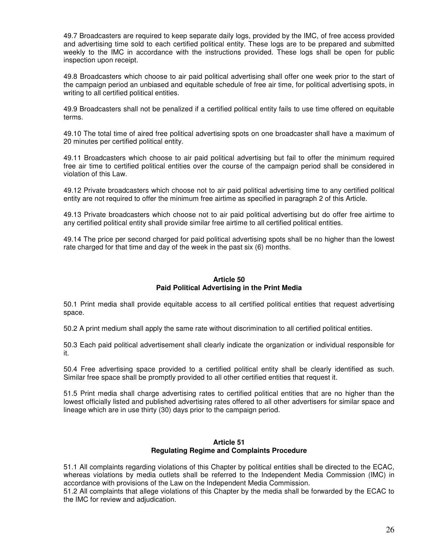49.7 Broadcasters are required to keep separate daily logs, provided by the IMC, of free access provided and advertising time sold to each certified political entity. These logs are to be prepared and submitted weekly to the IMC in accordance with the instructions provided. These logs shall be open for public inspection upon receipt.

49.8 Broadcasters which choose to air paid political advertising shall offer one week prior to the start of the campaign period an unbiased and equitable schedule of free air time, for political advertising spots, in writing to all certified political entities.

49.9 Broadcasters shall not be penalized if a certified political entity fails to use time offered on equitable terms.

49.10 The total time of aired free political advertising spots on one broadcaster shall have a maximum of 20 minutes per certified political entity.

49.11 Broadcasters which choose to air paid political advertising but fail to offer the minimum required free air time to certified political entities over the course of the campaign period shall be considered in violation of this Law.

49.12 Private broadcasters which choose not to air paid political advertising time to any certified political entity are not required to offer the minimum free airtime as specified in paragraph 2 of this Article.

49.13 Private broadcasters which choose not to air paid political advertising but do offer free airtime to any certified political entity shall provide similar free airtime to all certified political entities.

49.14 The price per second charged for paid political advertising spots shall be no higher than the lowest rate charged for that time and day of the week in the past six (6) months.

# **Article 50 Paid Political Advertising in the Print Media**

50.1 Print media shall provide equitable access to all certified political entities that request advertising space.

50.2 A print medium shall apply the same rate without discrimination to all certified political entities.

50.3 Each paid political advertisement shall clearly indicate the organization or individual responsible for it.

50.4 Free advertising space provided to a certified political entity shall be clearly identified as such. Similar free space shall be promptly provided to all other certified entities that request it.

51.5 Print media shall charge advertising rates to certified political entities that are no higher than the lowest officially listed and published advertising rates offered to all other advertisers for similar space and lineage which are in use thirty (30) days prior to the campaign period.

#### **Article 51 Regulating Regime and Complaints Procedure**

51.1 All complaints regarding violations of this Chapter by political entities shall be directed to the ECAC, whereas violations by media outlets shall be referred to the Independent Media Commission (IMC) in accordance with provisions of the Law on the Independent Media Commission.

51.2 All complaints that allege violations of this Chapter by the media shall be forwarded by the ECAC to the IMC for review and adjudication.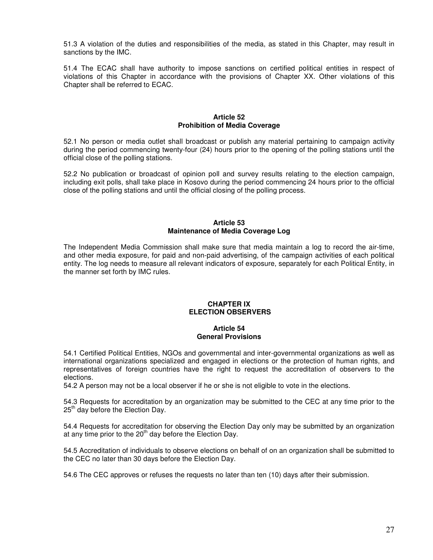51.3 A violation of the duties and responsibilities of the media, as stated in this Chapter, may result in sanctions by the IMC.

51.4 The ECAC shall have authority to impose sanctions on certified political entities in respect of violations of this Chapter in accordance with the provisions of Chapter XX. Other violations of this Chapter shall be referred to ECAC.

#### **Article 52 Prohibition of Media Coverage**

52.1 No person or media outlet shall broadcast or publish any material pertaining to campaign activity during the period commencing twenty-four (24) hours prior to the opening of the polling stations until the official close of the polling stations.

52.2 No publication or broadcast of opinion poll and survey results relating to the election campaign, including exit polls, shall take place in Kosovo during the period commencing 24 hours prior to the official close of the polling stations and until the official closing of the polling process.

## **Article 53 Maintenance of Media Coverage Log**

The Independent Media Commission shall make sure that media maintain a log to record the air-time, and other media exposure, for paid and non-paid advertising, of the campaign activities of each political entity. The log needs to measure all relevant indicators of exposure, separately for each Political Entity, in the manner set forth by IMC rules.

#### **CHAPTER IX ELECTION OBSERVERS**

# **Article 54 General Provisions**

54.1 Certified Political Entities, NGOs and governmental and inter-governmental organizations as well as international organizations specialized and engaged in elections or the protection of human rights, and representatives of foreign countries have the right to request the accreditation of observers to the elections.

54.2 A person may not be a local observer if he or she is not eligible to vote in the elections.

54.3 Requests for accreditation by an organization may be submitted to the CEC at any time prior to the  $25<sup>th</sup>$  day before the Election Day.

54.4 Requests for accreditation for observing the Election Day only may be submitted by an organization at any time prior to the  $20<sup>th</sup>$  day before the Election Day.

54.5 Accreditation of individuals to observe elections on behalf of on an organization shall be submitted to the CEC no later than 30 days before the Election Day.

54.6 The CEC approves or refuses the requests no later than ten (10) days after their submission.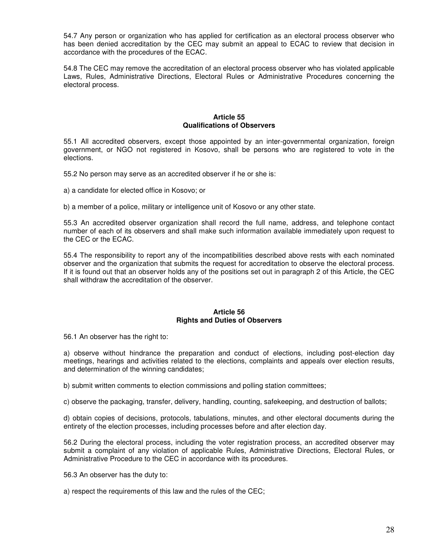54.7 Any person or organization who has applied for certification as an electoral process observer who has been denied accreditation by the CEC may submit an appeal to ECAC to review that decision in accordance with the procedures of the ECAC.

54.8 The CEC may remove the accreditation of an electoral process observer who has violated applicable Laws, Rules, Administrative Directions, Electoral Rules or Administrative Procedures concerning the electoral process.

## **Article 55 Qualifications of Observers**

55.1 All accredited observers, except those appointed by an inter-governmental organization, foreign government, or NGO not registered in Kosovo, shall be persons who are registered to vote in the elections.

55.2 No person may serve as an accredited observer if he or she is:

a) a candidate for elected office in Kosovo; or

b) a member of a police, military or intelligence unit of Kosovo or any other state.

55.3 An accredited observer organization shall record the full name, address, and telephone contact number of each of its observers and shall make such information available immediately upon request to the CEC or the ECAC.

55.4 The responsibility to report any of the incompatibilities described above rests with each nominated observer and the organization that submits the request for accreditation to observe the electoral process. If it is found out that an observer holds any of the positions set out in paragraph 2 of this Article, the CEC shall withdraw the accreditation of the observer.

#### **Article 56 Rights and Duties of Observers**

56.1 An observer has the right to:

a) observe without hindrance the preparation and conduct of elections, including post-election day meetings, hearings and activities related to the elections, complaints and appeals over election results, and determination of the winning candidates;

b) submit written comments to election commissions and polling station committees;

c) observe the packaging, transfer, delivery, handling, counting, safekeeping, and destruction of ballots;

d) obtain copies of decisions, protocols, tabulations, minutes, and other electoral documents during the entirety of the election processes, including processes before and after election day.

56.2 During the electoral process, including the voter registration process, an accredited observer may submit a complaint of any violation of applicable Rules, Administrative Directions, Electoral Rules, or Administrative Procedure to the CEC in accordance with its procedures.

56.3 An observer has the duty to:

a) respect the requirements of this law and the rules of the CEC;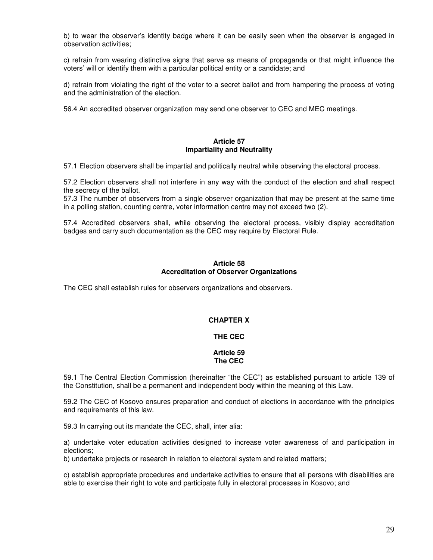b) to wear the observer's identity badge where it can be easily seen when the observer is engaged in observation activities;

c) refrain from wearing distinctive signs that serve as means of propaganda or that might influence the voters' will or identify them with a particular political entity or a candidate; and

d) refrain from violating the right of the voter to a secret ballot and from hampering the process of voting and the administration of the election.

56.4 An accredited observer organization may send one observer to CEC and MEC meetings.

## **Article 57 Impartiality and Neutrality**

57.1 Election observers shall be impartial and politically neutral while observing the electoral process.

57.2 Election observers shall not interfere in any way with the conduct of the election and shall respect the secrecy of the ballot.

57.3 The number of observers from a single observer organization that may be present at the same time in a polling station, counting centre, voter information centre may not exceed two (2).

57.4 Accredited observers shall, while observing the electoral process, visibly display accreditation badges and carry such documentation as the CEC may require by Electoral Rule.

## **Article 58 Accreditation of Observer Organizations**

The CEC shall establish rules for observers organizations and observers.

# **CHAPTER X**

# **THE CEC**

#### **Article 59 The CEC**

59.1 The Central Election Commission (hereinafter "the CEC") as established pursuant to article 139 of the Constitution, shall be a permanent and independent body within the meaning of this Law.

59.2 The CEC of Kosovo ensures preparation and conduct of elections in accordance with the principles and requirements of this law.

59.3 In carrying out its mandate the CEC, shall, inter alia:

a) undertake voter education activities designed to increase voter awareness of and participation in elections;

b) undertake projects or research in relation to electoral system and related matters;

c) establish appropriate procedures and undertake activities to ensure that all persons with disabilities are able to exercise their right to vote and participate fully in electoral processes in Kosovo; and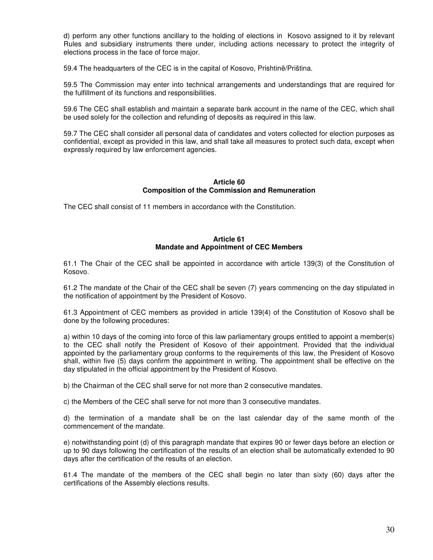d) perform any other functions ancillary to the holding of elections in Kosovo assigned to it by relevant Rules and subsidiary instruments there under, including actions necessary to protect the integrity of elections process in the face of force major.

59.4 The headquarters of the CEC is in the capital of Kosovo, Prishtinë/Priština.

59.5 The Commission may enter into technical arrangements and understandings that are required for the fulfillment of its functions and responsibilities.

59.6 The CEC shall establish and maintain a separate bank account in the name of the CEC, which shall be used solely for the collection and refunding of deposits as required in this law.

59.7 The CEC shall consider all personal data of candidates and voters collected for election purposes as confidential, except as provided in this law, and shall take all measures to protect such data, except when expressly required by law enforcement agencies.

#### **Article 60 Composition of the Commission and Remuneration**

The CEC shall consist of 11 members in accordance with the Constitution.

# **Article 61 Mandate and Appointment of CEC Members**

61.1 The Chair of the CEC shall be appointed in accordance with article 139(3) of the Constitution of Kosovo.

61.2 The mandate of the Chair of the CEC shall be seven (7) years commencing on the day stipulated in the notification of appointment by the President of Kosovo.

61.3 Appointment of CEC members as provided in article 139(4) of the Constitution of Kosovo shall be done by the following procedures:

a) within 10 days of the coming into force of this law parliamentary groups entitled to appoint a member(s) to the CEC shall notify the President of Kosovo of their appointment. Provided that the individual appointed by the parliamentary group conforms to the requirements of this law, the President of Kosovo shall, within five (5) days confirm the appointment in writing. The appointment shall be effective on the day stipulated in the official appointment by the President of Kosovo.

b) the Chairman of the CEC shall serve for not more than 2 consecutive mandates.

c) the Members of the CEC shall serve for not more than 3 consecutive mandates.

d) the termination of a mandate shall be on the last calendar day of the same month of the commencement of the mandate.

e) notwithstanding point (d) of this paragraph mandate that expires 90 or fewer days before an election or up to 90 days following the certification of the results of an election shall be automatically extended to 90 days after the certification of the results of an election.

61.4 The mandate of the members of the CEC shall begin no later than sixty (60) days after the certifications of the Assembly elections results.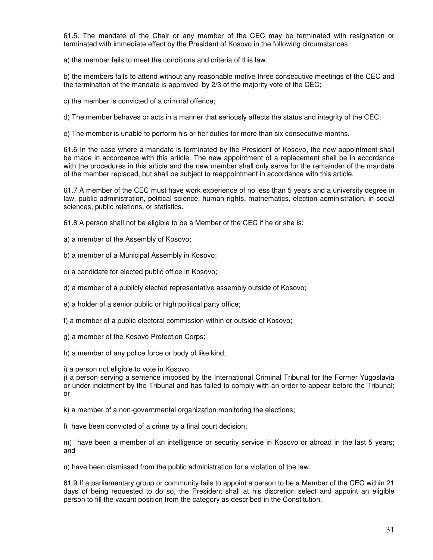61.5. The mandate of the Chair or any member of the CEC may be terminated with resignation or terminated with immediate effect by the President of Kosovo in the following circumstances:

a) the member fails to meet the conditions and criteria of this law.

b) the members fails to attend without any reasonable motive three consecutive meetings of the CEC and the termination of the mandate is approved by 2/3 of the majority vote of the CEC;

c) the member is convicted of a criminal offence;

d) The member behaves or acts in a manner that seriously affects the status and integrity of the CEC;

e) The member is unable to perform his or her duties for more than six consecutive months.

61.6 In the case where a mandate is terminated by the President of Kosovo, the new appointment shall be made in accordance with this article. The new appointment of a replacement shall be in accordance with the procedures in this article and the new member shall only serve for the remainder of the mandate of the member replaced, but shall be subject to reappointment in accordance with this article.

61.7 A member of the CEC must have work experience of no less than 5 years and a university degree in law, public administration, political science, human rights, mathematics, election administration, in social sciences, public relations, or statistics.

61.8 A person shall not be eligible to be a Member of the CEC if he or she is:

a) a member of the Assembly of Kosovo;

b) a member of a Municipal Assembly in Kosovo;

c) a candidate for elected public office in Kosovo;

d) a member of a publicly elected representative assembly outside of Kosovo;

e) a holder of a senior public or high political party office;

f) a member of a public electoral commission within or outside of Kosovo;

g) a member of the Kosovo Protection Corps;

h) a member of any police force or body of like kind;

i) a person not eligible to vote in Kosovo;

j) a person serving a sentence imposed by the International Criminal Tribunal for the Former Yugoslavia or under indictment by the Tribunal and has failed to comply with an order to appear before the Tribunal; or

k) a member of a non-governmental organization monitoring the elections;

l) have been convicted of a crime by a final court decision;

m) have been a member of an intelligence or security service in Kosovo or abroad in the last 5 years; and

n) have been dismissed from the public administration for a violation of the law.

61.9 If a parliamentary group or community fails to appoint a person to be a Member of the CEC within 21 days of being requested to do so, the President shall at his discretion select and appoint an eligible person to fill the vacant position from the category as described in the Constitution.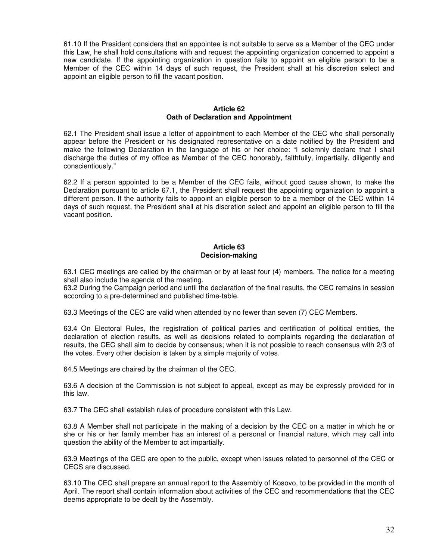61.10 If the President considers that an appointee is not suitable to serve as a Member of the CEC under this Law, he shall hold consultations with and request the appointing organization concerned to appoint a new candidate. If the appointing organization in question fails to appoint an eligible person to be a Member of the CEC within 14 days of such request, the President shall at his discretion select and appoint an eligible person to fill the vacant position.

## **Article 62 Oath of Declaration and Appointment**

62.1 The President shall issue a letter of appointment to each Member of the CEC who shall personally appear before the President or his designated representative on a date notified by the President and make the following Declaration in the language of his or her choice: "I solemnly declare that I shall discharge the duties of my office as Member of the CEC honorably, faithfully, impartially, diligently and conscientiously."

62.2 If a person appointed to be a Member of the CEC fails, without good cause shown, to make the Declaration pursuant to article 67.1, the President shall request the appointing organization to appoint a different person. If the authority fails to appoint an eligible person to be a member of the CEC within 14 days of such request, the President shall at his discretion select and appoint an eligible person to fill the vacant position.

# **Article 63 Decision-making**

63.1 CEC meetings are called by the chairman or by at least four (4) members. The notice for a meeting shall also include the agenda of the meeting.

63.2 During the Campaign period and until the declaration of the final results, the CEC remains in session according to a pre-determined and published time-table.

63.3 Meetings of the CEC are valid when attended by no fewer than seven (7) CEC Members.

63.4 On Electoral Rules, the registration of political parties and certification of political entities, the declaration of election results, as well as decisions related to complaints regarding the declaration of results, the CEC shall aim to decide by consensus; when it is not possible to reach consensus with 2/3 of the votes. Every other decision is taken by a simple majority of votes.

64.5 Meetings are chaired by the chairman of the CEC.

63.6 A decision of the Commission is not subject to appeal, except as may be expressly provided for in this law.

63.7 The CEC shall establish rules of procedure consistent with this Law.

63.8 A Member shall not participate in the making of a decision by the CEC on a matter in which he or she or his or her family member has an interest of a personal or financial nature, which may call into question the ability of the Member to act impartially.

63.9 Meetings of the CEC are open to the public, except when issues related to personnel of the CEC or CECS are discussed.

63.10 The CEC shall prepare an annual report to the Assembly of Kosovo, to be provided in the month of April. The report shall contain information about activities of the CEC and recommendations that the CEC deems appropriate to be dealt by the Assembly.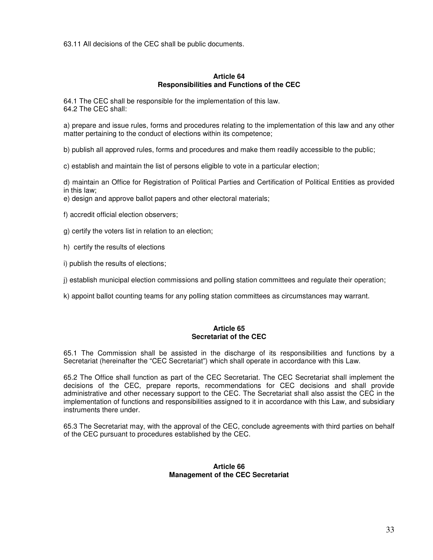63.11 All decisions of the CEC shall be public documents.

#### **Article 64 Responsibilities and Functions of the CEC**

64.1 The CEC shall be responsible for the implementation of this law. 64.2 The CEC shall:

a) prepare and issue rules, forms and procedures relating to the implementation of this law and any other matter pertaining to the conduct of elections within its competence;

b) publish all approved rules, forms and procedures and make them readily accessible to the public;

c) establish and maintain the list of persons eligible to vote in a particular election;

d) maintain an Office for Registration of Political Parties and Certification of Political Entities as provided in this law;

- e) design and approve ballot papers and other electoral materials;
- f) accredit official election observers;
- g) certify the voters list in relation to an election;
- h) certify the results of elections
- i) publish the results of elections;

j) establish municipal election commissions and polling station committees and regulate their operation;

k) appoint ballot counting teams for any polling station committees as circumstances may warrant.

# **Article 65 Secretariat of the CEC**

65.1 The Commission shall be assisted in the discharge of its responsibilities and functions by a Secretariat (hereinafter the "CEC Secretariat") which shall operate in accordance with this Law.

65.2 The Office shall function as part of the CEC Secretariat. The CEC Secretariat shall implement the decisions of the CEC, prepare reports, recommendations for CEC decisions and shall provide administrative and other necessary support to the CEC. The Secretariat shall also assist the CEC in the implementation of functions and responsibilities assigned to it in accordance with this Law, and subsidiary instruments there under.

65.3 The Secretariat may, with the approval of the CEC, conclude agreements with third parties on behalf of the CEC pursuant to procedures established by the CEC.

#### **Article 66 Management of the CEC Secretariat**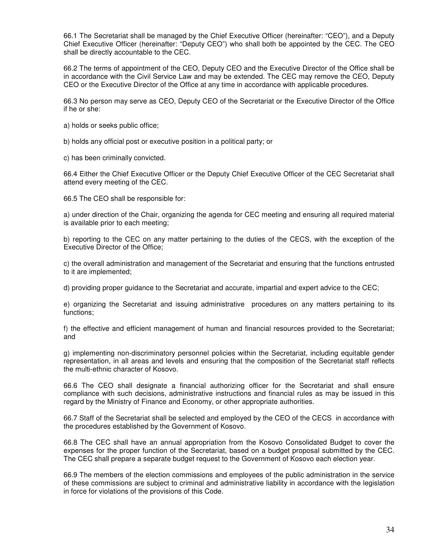66.1 The Secretariat shall be managed by the Chief Executive Officer (hereinafter: "CEO"), and a Deputy Chief Executive Officer (hereinafter: "Deputy CEO") who shall both be appointed by the CEC. The CEO shall be directly accountable to the CEC.

66.2 The terms of appointment of the CEO, Deputy CEO and the Executive Director of the Office shall be in accordance with the Civil Service Law and may be extended. The CEC may remove the CEO, Deputy CEO or the Executive Director of the Office at any time in accordance with applicable procedures.

66.3 No person may serve as CEO, Deputy CEO of the Secretariat or the Executive Director of the Office if he or she:

a) holds or seeks public office;

b) holds any official post or executive position in a political party; or

c) has been criminally convicted.

66.4 Either the Chief Executive Officer or the Deputy Chief Executive Officer of the CEC Secretariat shall attend every meeting of the CEC.

66.5 The CEO shall be responsible for:

a) under direction of the Chair, organizing the agenda for CEC meeting and ensuring all required material is available prior to each meeting;

b) reporting to the CEC on any matter pertaining to the duties of the CECS, with the exception of the Executive Director of the Office;

c) the overall administration and management of the Secretariat and ensuring that the functions entrusted to it are implemented;

d) providing proper guidance to the Secretariat and accurate, impartial and expert advice to the CEC;

e) organizing the Secretariat and issuing administrative procedures on any matters pertaining to its functions;

f) the effective and efficient management of human and financial resources provided to the Secretariat; and

g) implementing non-discriminatory personnel policies within the Secretariat, including equitable gender representation, in all areas and levels and ensuring that the composition of the Secretariat staff reflects the multi-ethnic character of Kosovo.

66.6 The CEO shall designate a financial authorizing officer for the Secretariat and shall ensure compliance with such decisions, administrative instructions and financial rules as may be issued in this regard by the Ministry of Finance and Economy, or other appropriate authorities.

66.7 Staff of the Secretariat shall be selected and employed by the CEO of the CECS in accordance with the procedures established by the Government of Kosovo.

66.8 The CEC shall have an annual appropriation from the Kosovo Consolidated Budget to cover the expenses for the proper function of the Secretariat, based on a budget proposal submitted by the CEC. The CEC shall prepare a separate budget request to the Government of Kosovo each election year.

66.9 The members of the election commissions and employees of the public administration in the service of these commissions are subject to criminal and administrative liability in accordance with the legislation in force for violations of the provisions of this Code.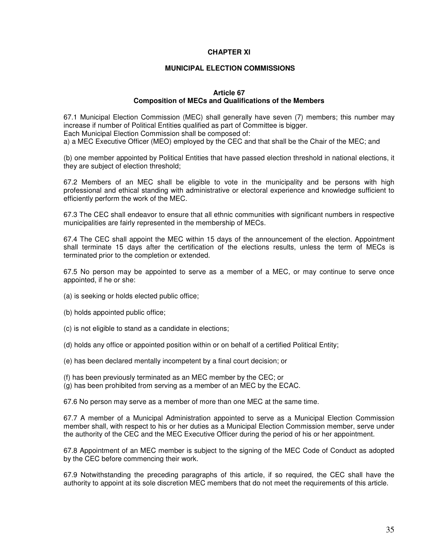## **CHAPTER XI**

# **MUNICIPAL ELECTION COMMISSIONS**

## **Article 67 Composition of MECs and Qualifications of the Members**

67.1 Municipal Election Commission (MEC) shall generally have seven (7) members; this number may increase if number of Political Entities qualified as part of Committee is bigger. Each Municipal Election Commission shall be composed of: a) a MEC Executive Officer (MEO) employed by the CEC and that shall be the Chair of the MEC; and

(b) one member appointed by Political Entities that have passed election threshold in national elections, it they are subject of election threshold;

67.2 Members of an MEC shall be eligible to vote in the municipality and be persons with high professional and ethical standing with administrative or electoral experience and knowledge sufficient to efficiently perform the work of the MEC.

67.3 The CEC shall endeavor to ensure that all ethnic communities with significant numbers in respective municipalities are fairly represented in the membership of MECs.

67.4 The CEC shall appoint the MEC within 15 days of the announcement of the election. Appointment shall terminate 15 days after the certification of the elections results, unless the term of MECs is terminated prior to the completion or extended.

67.5 No person may be appointed to serve as a member of a MEC, or may continue to serve once appointed, if he or she:

- (a) is seeking or holds elected public office;
- (b) holds appointed public office;
- (c) is not eligible to stand as a candidate in elections;
- (d) holds any office or appointed position within or on behalf of a certified Political Entity;
- (e) has been declared mentally incompetent by a final court decision; or
- (f) has been previously terminated as an MEC member by the CEC; or
- (g) has been prohibited from serving as a member of an MEC by the ECAC.

67.6 No person may serve as a member of more than one MEC at the same time.

67.7 A member of a Municipal Administration appointed to serve as a Municipal Election Commission member shall, with respect to his or her duties as a Municipal Election Commission member, serve under the authority of the CEC and the MEC Executive Officer during the period of his or her appointment.

67.8 Appointment of an MEC member is subject to the signing of the MEC Code of Conduct as adopted by the CEC before commencing their work.

67.9 Notwithstanding the preceding paragraphs of this article, if so required, the CEC shall have the authority to appoint at its sole discretion MEC members that do not meet the requirements of this article.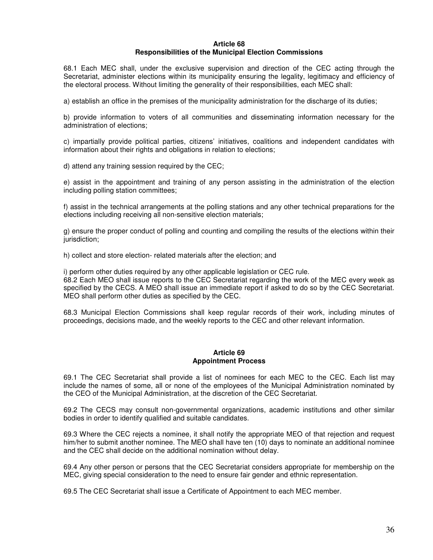#### **Article 68 Responsibilities of the Municipal Election Commissions**

68.1 Each MEC shall, under the exclusive supervision and direction of the CEC acting through the Secretariat, administer elections within its municipality ensuring the legality, legitimacy and efficiency of the electoral process. Without limiting the generality of their responsibilities, each MEC shall:

a) establish an office in the premises of the municipality administration for the discharge of its duties;

b) provide information to voters of all communities and disseminating information necessary for the administration of elections;

c) impartially provide political parties, citizens' initiatives, coalitions and independent candidates with information about their rights and obligations in relation to elections;

d) attend any training session required by the CEC;

e) assist in the appointment and training of any person assisting in the administration of the election including polling station committees;

f) assist in the technical arrangements at the polling stations and any other technical preparations for the elections including receiving all non-sensitive election materials;

g) ensure the proper conduct of polling and counting and compiling the results of the elections within their jurisdiction;

h) collect and store election- related materials after the election; and

i) perform other duties required by any other applicable legislation or CEC rule. 68.2 Each MEO shall issue reports to the CEC Secretariat regarding the work of the MEC every week as specified by the CECS. A MEO shall issue an immediate report if asked to do so by the CEC Secretariat. MEO shall perform other duties as specified by the CEC.

68.3 Municipal Election Commissions shall keep regular records of their work, including minutes of proceedings, decisions made, and the weekly reports to the CEC and other relevant information.

#### **Article 69 Appointment Process**

69.1 The CEC Secretariat shall provide a list of nominees for each MEC to the CEC. Each list may include the names of some, all or none of the employees of the Municipal Administration nominated by the CEO of the Municipal Administration, at the discretion of the CEC Secretariat.

69.2 The CECS may consult non-governmental organizations, academic institutions and other similar bodies in order to identify qualified and suitable candidates.

69.3 Where the CEC rejects a nominee, it shall notify the appropriate MEO of that rejection and request him/her to submit another nominee. The MEO shall have ten (10) days to nominate an additional nominee and the CEC shall decide on the additional nomination without delay.

69.4 Any other person or persons that the CEC Secretariat considers appropriate for membership on the MEC, giving special consideration to the need to ensure fair gender and ethnic representation.

69.5 The CEC Secretariat shall issue a Certificate of Appointment to each MEC member.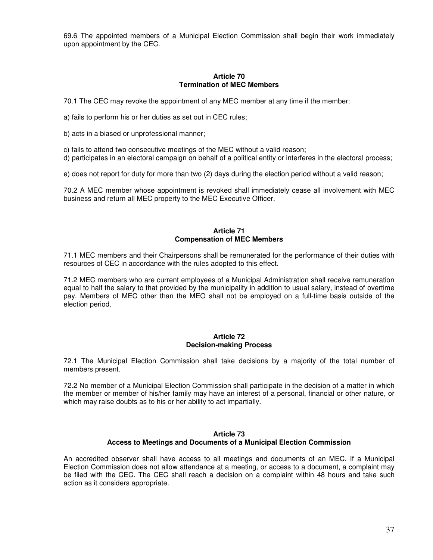69.6 The appointed members of a Municipal Election Commission shall begin their work immediately upon appointment by the CEC.

#### **Article 70 Termination of MEC Members**

70.1 The CEC may revoke the appointment of any MEC member at any time if the member:

a) fails to perform his or her duties as set out in CEC rules;

b) acts in a biased or unprofessional manner;

c) fails to attend two consecutive meetings of the MEC without a valid reason;

d) participates in an electoral campaign on behalf of a political entity or interferes in the electoral process;

e) does not report for duty for more than two (2) days during the election period without a valid reason;

70.2 A MEC member whose appointment is revoked shall immediately cease all involvement with MEC business and return all MEC property to the MEC Executive Officer.

## **Article 71 Compensation of MEC Members**

71.1 MEC members and their Chairpersons shall be remunerated for the performance of their duties with resources of CEC in accordance with the rules adopted to this effect.

71.2 MEC members who are current employees of a Municipal Administration shall receive remuneration equal to half the salary to that provided by the municipality in addition to usual salary, instead of overtime pay. Members of MEC other than the MEO shall not be employed on a full-time basis outside of the election period.

# **Article 72 Decision-making Process**

72.1 The Municipal Election Commission shall take decisions by a majority of the total number of members present.

72.2 No member of a Municipal Election Commission shall participate in the decision of a matter in which the member or member of his/her family may have an interest of a personal, financial or other nature, or which may raise doubts as to his or her ability to act impartially.

# **Article 73 Access to Meetings and Documents of a Municipal Election Commission**

An accredited observer shall have access to all meetings and documents of an MEC. If a Municipal Election Commission does not allow attendance at a meeting, or access to a document, a complaint may be filed with the CEC. The CEC shall reach a decision on a complaint within 48 hours and take such action as it considers appropriate.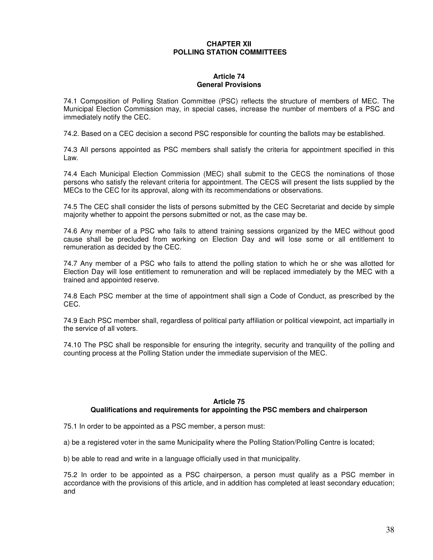# **CHAPTER XII POLLING STATION COMMITTEES**

#### **Article 74 General Provisions**

74.1 Composition of Polling Station Committee (PSC) reflects the structure of members of MEC. The Municipal Election Commission may, in special cases, increase the number of members of a PSC and immediately notify the CEC.

74.2. Based on a CEC decision a second PSC responsible for counting the ballots may be established.

74.3 All persons appointed as PSC members shall satisfy the criteria for appointment specified in this Law.

74.4 Each Municipal Election Commission (MEC) shall submit to the CECS the nominations of those persons who satisfy the relevant criteria for appointment. The CECS will present the lists supplied by the MECs to the CEC for its approval, along with its recommendations or observations.

74.5 The CEC shall consider the lists of persons submitted by the CEC Secretariat and decide by simple majority whether to appoint the persons submitted or not, as the case may be.

74.6 Any member of a PSC who fails to attend training sessions organized by the MEC without good cause shall be precluded from working on Election Day and will lose some or all entitlement to remuneration as decided by the CEC.

74.7 Any member of a PSC who fails to attend the polling station to which he or she was allotted for Election Day will lose entitlement to remuneration and will be replaced immediately by the MEC with a trained and appointed reserve.

74.8 Each PSC member at the time of appointment shall sign a Code of Conduct, as prescribed by the CEC.

74.9 Each PSC member shall, regardless of political party affiliation or political viewpoint, act impartially in the service of all voters.

74.10 The PSC shall be responsible for ensuring the integrity, security and tranquility of the polling and counting process at the Polling Station under the immediate supervision of the MEC.

# **Article 75 Qualifications and requirements for appointing the PSC members and chairperson**

75.1 In order to be appointed as a PSC member, a person must:

a) be a registered voter in the same Municipality where the Polling Station/Polling Centre is located;

b) be able to read and write in a language officially used in that municipality.

75.2 In order to be appointed as a PSC chairperson, a person must qualify as a PSC member in accordance with the provisions of this article, and in addition has completed at least secondary education; and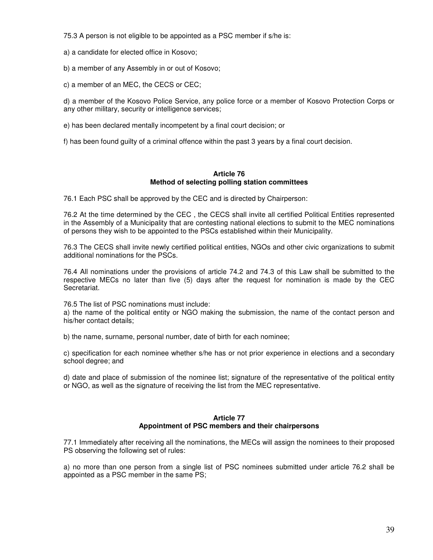75.3 A person is not eligible to be appointed as a PSC member if s/he is:

a) a candidate for elected office in Kosovo;

b) a member of any Assembly in or out of Kosovo;

c) a member of an MEC, the CECS or CEC;

d) a member of the Kosovo Police Service, any police force or a member of Kosovo Protection Corps or any other military, security or intelligence services;

e) has been declared mentally incompetent by a final court decision; or

f) has been found guilty of a criminal offence within the past 3 years by a final court decision.

# **Article 76 Method of selecting polling station committees**

76.1 Each PSC shall be approved by the CEC and is directed by Chairperson:

76.2 At the time determined by the CEC , the CECS shall invite all certified Political Entities represented in the Assembly of a Municipality that are contesting national elections to submit to the MEC nominations of persons they wish to be appointed to the PSCs established within their Municipality.

76.3 The CECS shall invite newly certified political entities, NGOs and other civic organizations to submit additional nominations for the PSCs.

76.4 All nominations under the provisions of article 74.2 and 74.3 of this Law shall be submitted to the respective MECs no later than five (5) days after the request for nomination is made by the CEC Secretariat.

76.5 The list of PSC nominations must include:

a) the name of the political entity or NGO making the submission, the name of the contact person and his/her contact details;

b) the name, surname, personal number, date of birth for each nominee;

c) specification for each nominee whether s/he has or not prior experience in elections and a secondary school degree; and

d) date and place of submission of the nominee list; signature of the representative of the political entity or NGO, as well as the signature of receiving the list from the MEC representative.

#### **Article 77 Appointment of PSC members and their chairpersons**

77.1 Immediately after receiving all the nominations, the MECs will assign the nominees to their proposed PS observing the following set of rules:

a) no more than one person from a single list of PSC nominees submitted under article 76.2 shall be appointed as a PSC member in the same PS;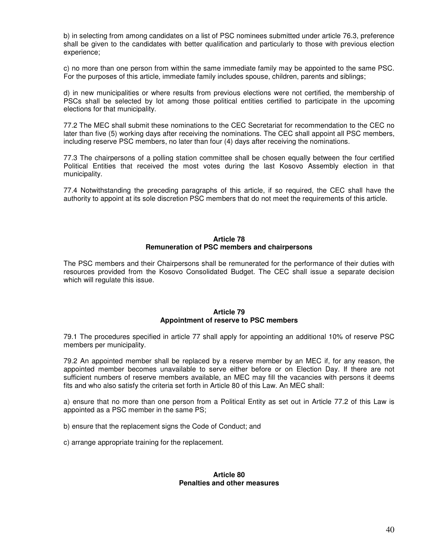b) in selecting from among candidates on a list of PSC nominees submitted under article 76.3, preference shall be given to the candidates with better qualification and particularly to those with previous election experience;

c) no more than one person from within the same immediate family may be appointed to the same PSC. For the purposes of this article, immediate family includes spouse, children, parents and siblings;

d) in new municipalities or where results from previous elections were not certified, the membership of PSCs shall be selected by lot among those political entities certified to participate in the upcoming elections for that municipality.

77.2 The MEC shall submit these nominations to the CEC Secretariat for recommendation to the CEC no later than five (5) working days after receiving the nominations. The CEC shall appoint all PSC members, including reserve PSC members, no later than four (4) days after receiving the nominations.

77.3 The chairpersons of a polling station committee shall be chosen equally between the four certified Political Entities that received the most votes during the last Kosovo Assembly election in that municipality.

77.4 Notwithstanding the preceding paragraphs of this article, if so required, the CEC shall have the authority to appoint at its sole discretion PSC members that do not meet the requirements of this article.

#### **Article 78 Remuneration of PSC members and chairpersons**

The PSC members and their Chairpersons shall be remunerated for the performance of their duties with resources provided from the Kosovo Consolidated Budget. The CEC shall issue a separate decision which will regulate this issue.

#### **Article 79 Appointment of reserve to PSC members**

79.1 The procedures specified in article 77 shall apply for appointing an additional 10% of reserve PSC members per municipality.

79.2 An appointed member shall be replaced by a reserve member by an MEC if, for any reason, the appointed member becomes unavailable to serve either before or on Election Day. If there are not sufficient numbers of reserve members available, an MEC may fill the vacancies with persons it deems fits and who also satisfy the criteria set forth in Article 80 of this Law. An MEC shall:

a) ensure that no more than one person from a Political Entity as set out in Article 77.2 of this Law is appointed as a PSC member in the same PS;

b) ensure that the replacement signs the Code of Conduct; and

c) arrange appropriate training for the replacement.

#### **Article 80 Penalties and other measures**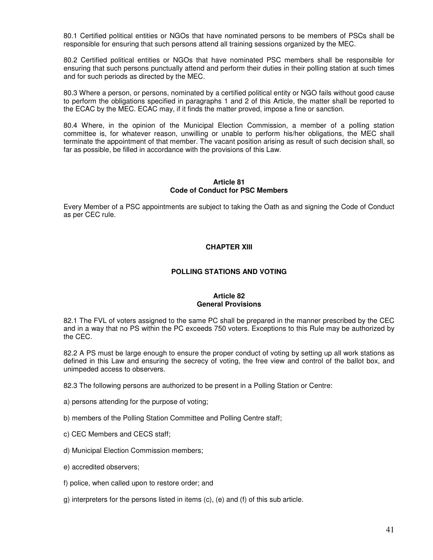80.1 Certified political entities or NGOs that have nominated persons to be members of PSCs shall be responsible for ensuring that such persons attend all training sessions organized by the MEC.

80.2 Certified political entities or NGOs that have nominated PSC members shall be responsible for ensuring that such persons punctually attend and perform their duties in their polling station at such times and for such periods as directed by the MEC.

80.3 Where a person, or persons, nominated by a certified political entity or NGO fails without good cause to perform the obligations specified in paragraphs 1 and 2 of this Article, the matter shall be reported to the ECAC by the MEC. ECAC may, if it finds the matter proved, impose a fine or sanction.

80.4 Where, in the opinion of the Municipal Election Commission, a member of a polling station committee is, for whatever reason, unwilling or unable to perform his/her obligations, the MEC shall terminate the appointment of that member. The vacant position arising as result of such decision shall, so far as possible, be filled in accordance with the provisions of this Law.

## **Article 81 Code of Conduct for PSC Members**

Every Member of a PSC appointments are subject to taking the Oath as and signing the Code of Conduct as per CEC rule.

# **CHAPTER XIII**

# **POLLING STATIONS AND VOTING**

#### **Article 82 General Provisions**

82.1 The FVL of voters assigned to the same PC shall be prepared in the manner prescribed by the CEC and in a way that no PS within the PC exceeds 750 voters. Exceptions to this Rule may be authorized by the CEC.

82.2 A PS must be large enough to ensure the proper conduct of voting by setting up all work stations as defined in this Law and ensuring the secrecy of voting, the free view and control of the ballot box, and unimpeded access to observers.

82.3 The following persons are authorized to be present in a Polling Station or Centre:

- a) persons attending for the purpose of voting;
- b) members of the Polling Station Committee and Polling Centre staff;
- c) CEC Members and CECS staff;
- d) Municipal Election Commission members;
- e) accredited observers;
- f) police, when called upon to restore order; and
- g) interpreters for the persons listed in items (c), (e) and (f) of this sub article.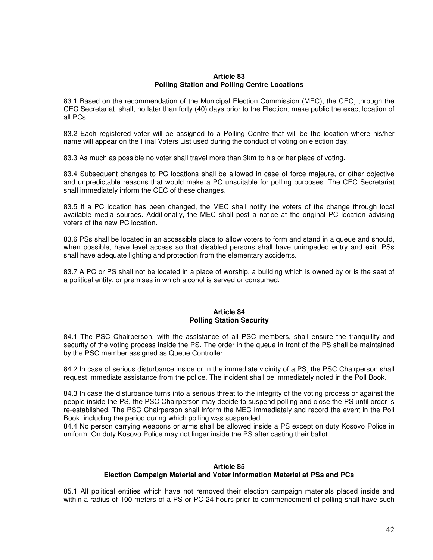#### **Article 83 Polling Station and Polling Centre Locations**

83.1 Based on the recommendation of the Municipal Election Commission (MEC), the CEC, through the CEC Secretariat, shall, no later than forty (40) days prior to the Election, make public the exact location of all PCs.

83.2 Each registered voter will be assigned to a Polling Centre that will be the location where his/her name will appear on the Final Voters List used during the conduct of voting on election day.

83.3 As much as possible no voter shall travel more than 3km to his or her place of voting.

83.4 Subsequent changes to PC locations shall be allowed in case of force majeure, or other objective and unpredictable reasons that would make a PC unsuitable for polling purposes. The CEC Secretariat shall immediately inform the CEC of these changes.

83.5 If a PC location has been changed, the MEC shall notify the voters of the change through local available media sources. Additionally, the MEC shall post a notice at the original PC location advising voters of the new PC location.

83.6 PSs shall be located in an accessible place to allow voters to form and stand in a queue and should, when possible, have level access so that disabled persons shall have unimpeded entry and exit. PSs shall have adequate lighting and protection from the elementary accidents.

83.7 A PC or PS shall not be located in a place of worship, a building which is owned by or is the seat of a political entity, or premises in which alcohol is served or consumed.

#### **Article 84 Polling Station Security**

84.1 The PSC Chairperson, with the assistance of all PSC members, shall ensure the tranquility and security of the voting process inside the PS. The order in the queue in front of the PS shall be maintained by the PSC member assigned as Queue Controller.

84.2 In case of serious disturbance inside or in the immediate vicinity of a PS, the PSC Chairperson shall request immediate assistance from the police. The incident shall be immediately noted in the Poll Book.

84.3 In case the disturbance turns into a serious threat to the integrity of the voting process or against the people inside the PS, the PSC Chairperson may decide to suspend polling and close the PS until order is re-established. The PSC Chairperson shall inform the MEC immediately and record the event in the Poll Book, including the period during which polling was suspended.

84.4 No person carrying weapons or arms shall be allowed inside a PS except on duty Kosovo Police in uniform. On duty Kosovo Police may not linger inside the PS after casting their ballot.

# **Article 85 Election Campaign Material and Voter Information Material at PSs and PCs**

85.1 All political entities which have not removed their election campaign materials placed inside and within a radius of 100 meters of a PS or PC 24 hours prior to commencement of polling shall have such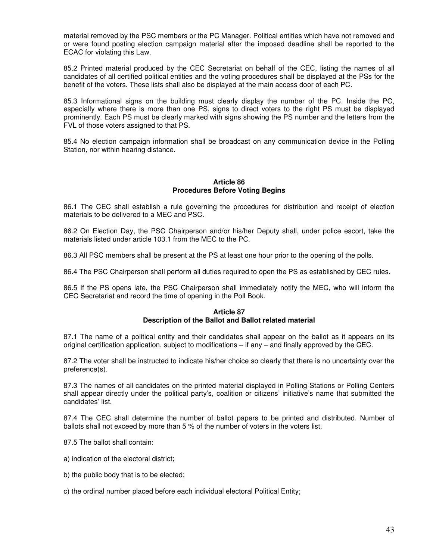material removed by the PSC members or the PC Manager. Political entities which have not removed and or were found posting election campaign material after the imposed deadline shall be reported to the ECAC for violating this Law.

85.2 Printed material produced by the CEC Secretariat on behalf of the CEC, listing the names of all candidates of all certified political entities and the voting procedures shall be displayed at the PSs for the benefit of the voters. These lists shall also be displayed at the main access door of each PC.

85.3 Informational signs on the building must clearly display the number of the PC. Inside the PC, especially where there is more than one PS, signs to direct voters to the right PS must be displayed prominently. Each PS must be clearly marked with signs showing the PS number and the letters from the FVL of those voters assigned to that PS.

85.4 No election campaign information shall be broadcast on any communication device in the Polling Station, nor within hearing distance.

#### **Article 86 Procedures Before Voting Begins**

86.1 The CEC shall establish a rule governing the procedures for distribution and receipt of election materials to be delivered to a MEC and PSC.

86.2 On Election Day, the PSC Chairperson and/or his/her Deputy shall, under police escort, take the materials listed under article 103.1 from the MEC to the PC.

86.3 All PSC members shall be present at the PS at least one hour prior to the opening of the polls.

86.4 The PSC Chairperson shall perform all duties required to open the PS as established by CEC rules.

86.5 If the PS opens late, the PSC Chairperson shall immediately notify the MEC, who will inform the CEC Secretariat and record the time of opening in the Poll Book.

# **Article 87**

# **Description of the Ballot and Ballot related material**

87.1 The name of a political entity and their candidates shall appear on the ballot as it appears on its original certification application, subject to modifications – if any – and finally approved by the CEC.

87.2 The voter shall be instructed to indicate his/her choice so clearly that there is no uncertainty over the preference(s).

87.3 The names of all candidates on the printed material displayed in Polling Stations or Polling Centers shall appear directly under the political party's, coalition or citizens' initiative's name that submitted the candidates' list.

87.4 The CEC shall determine the number of ballot papers to be printed and distributed. Number of ballots shall not exceed by more than 5 % of the number of voters in the voters list.

87.5 The ballot shall contain:

- a) indication of the electoral district;
- b) the public body that is to be elected;
- c) the ordinal number placed before each individual electoral Political Entity;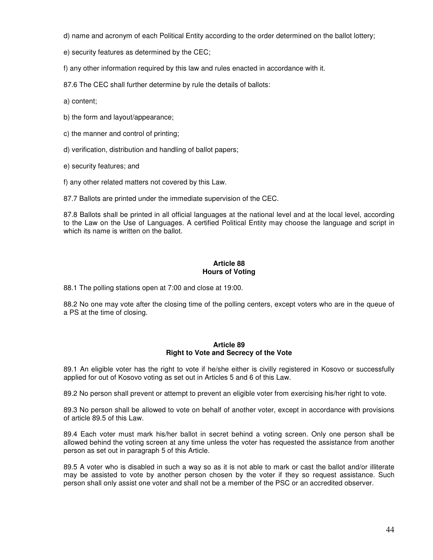- d) name and acronym of each Political Entity according to the order determined on the ballot lottery;
- e) security features as determined by the CEC;

f) any other information required by this law and rules enacted in accordance with it.

87.6 The CEC shall further determine by rule the details of ballots:

a) content;

- b) the form and layout/appearance;
- c) the manner and control of printing;
- d) verification, distribution and handling of ballot papers;
- e) security features; and

f) any other related matters not covered by this Law.

87.7 Ballots are printed under the immediate supervision of the CEC.

87.8 Ballots shall be printed in all official languages at the national level and at the local level, according to the Law on the Use of Languages. A certified Political Entity may choose the language and script in which its name is written on the ballot.

# **Article 88 Hours of Voting**

88.1 The polling stations open at 7:00 and close at 19:00.

88.2 No one may vote after the closing time of the polling centers, except voters who are in the queue of a PS at the time of closing.

# **Article 89 Right to Vote and Secrecy of the Vote**

89.1 An eligible voter has the right to vote if he/she either is civilly registered in Kosovo or successfully applied for out of Kosovo voting as set out in Articles 5 and 6 of this Law.

89.2 No person shall prevent or attempt to prevent an eligible voter from exercising his/her right to vote.

89.3 No person shall be allowed to vote on behalf of another voter, except in accordance with provisions of article 89.5 of this Law.

89.4 Each voter must mark his/her ballot in secret behind a voting screen. Only one person shall be allowed behind the voting screen at any time unless the voter has requested the assistance from another person as set out in paragraph 5 of this Article.

89.5 A voter who is disabled in such a way so as it is not able to mark or cast the ballot and/or illiterate may be assisted to vote by another person chosen by the voter if they so request assistance. Such person shall only assist one voter and shall not be a member of the PSC or an accredited observer.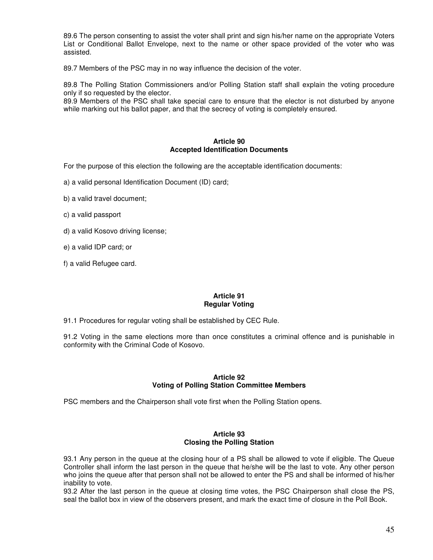89.6 The person consenting to assist the voter shall print and sign his/her name on the appropriate Voters List or Conditional Ballot Envelope, next to the name or other space provided of the voter who was assisted.

89.7 Members of the PSC may in no way influence the decision of the voter.

89.8 The Polling Station Commissioners and/or Polling Station staff shall explain the voting procedure only if so requested by the elector.

89.9 Members of the PSC shall take special care to ensure that the elector is not disturbed by anyone while marking out his ballot paper, and that the secrecy of voting is completely ensured.

## **Article 90 Accepted Identification Documents**

For the purpose of this election the following are the acceptable identification documents:

a) a valid personal Identification Document (ID) card;

- b) a valid travel document;
- c) a valid passport
- d) a valid Kosovo driving license;
- e) a valid IDP card; or
- f) a valid Refugee card.

#### **Article 91 Regular Voting**

91.1 Procedures for regular voting shall be established by CEC Rule.

91.2 Voting in the same elections more than once constitutes a criminal offence and is punishable in conformity with the Criminal Code of Kosovo.

#### **Article 92 Voting of Polling Station Committee Members**

PSC members and the Chairperson shall vote first when the Polling Station opens.

# **Article 93 Closing the Polling Station**

93.1 Any person in the queue at the closing hour of a PS shall be allowed to vote if eligible. The Queue Controller shall inform the last person in the queue that he/she will be the last to vote. Any other person who joins the queue after that person shall not be allowed to enter the PS and shall be informed of his/her inability to vote.

93.2 After the last person in the queue at closing time votes, the PSC Chairperson shall close the PS, seal the ballot box in view of the observers present, and mark the exact time of closure in the Poll Book.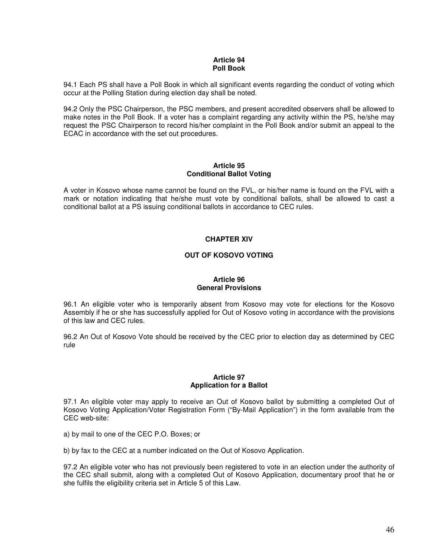## **Article 94 Poll Book**

94.1 Each PS shall have a Poll Book in which all significant events regarding the conduct of voting which occur at the Polling Station during election day shall be noted.

94.2 Only the PSC Chairperson, the PSC members, and present accredited observers shall be allowed to make notes in the Poll Book. If a voter has a complaint regarding any activity within the PS, he/she may request the PSC Chairperson to record his/her complaint in the Poll Book and/or submit an appeal to the ECAC in accordance with the set out procedures.

# **Article 95 Conditional Ballot Voting**

A voter in Kosovo whose name cannot be found on the FVL, or his/her name is found on the FVL with a mark or notation indicating that he/she must vote by conditional ballots, shall be allowed to cast a conditional ballot at a PS issuing conditional ballots in accordance to CEC rules.

# **CHAPTER XIV**

# **OUT OF KOSOVO VOTING**

# **Article 96 General Provisions**

96.1 An eligible voter who is temporarily absent from Kosovo may vote for elections for the Kosovo Assembly if he or she has successfully applied for Out of Kosovo voting in accordance with the provisions of this law and CEC rules.

96.2 An Out of Kosovo Vote should be received by the CEC prior to election day as determined by CEC rule

#### **Article 97 Application for a Ballot**

97.1 An eligible voter may apply to receive an Out of Kosovo ballot by submitting a completed Out of Kosovo Voting Application/Voter Registration Form ("By-Mail Application") in the form available from the CEC web-site:

a) by mail to one of the CEC P.O. Boxes; or

b) by fax to the CEC at a number indicated on the Out of Kosovo Application.

97.2 An eligible voter who has not previously been registered to vote in an election under the authority of the CEC shall submit, along with a completed Out of Kosovo Application, documentary proof that he or she fulfils the eligibility criteria set in Article 5 of this Law.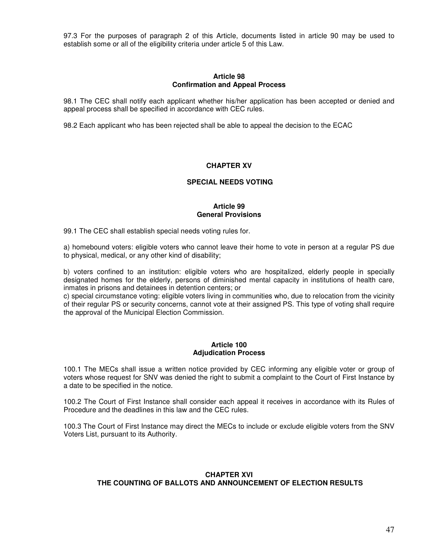97.3 For the purposes of paragraph 2 of this Article, documents listed in article 90 may be used to establish some or all of the eligibility criteria under article 5 of this Law.

#### **Article 98 Confirmation and Appeal Process**

98.1 The CEC shall notify each applicant whether his/her application has been accepted or denied and appeal process shall be specified in accordance with CEC rules.

98.2 Each applicant who has been rejected shall be able to appeal the decision to the ECAC

#### **CHAPTER XV**

#### **SPECIAL NEEDS VOTING**

## **Article 99 General Provisions**

99.1 The CEC shall establish special needs voting rules for.

a) homebound voters: eligible voters who cannot leave their home to vote in person at a regular PS due to physical, medical, or any other kind of disability;

b) voters confined to an institution: eligible voters who are hospitalized, elderly people in specially designated homes for the elderly, persons of diminished mental capacity in institutions of health care, inmates in prisons and detainees in detention centers; or

c) special circumstance voting: eligible voters living in communities who, due to relocation from the vicinity of their regular PS or security concerns, cannot vote at their assigned PS. This type of voting shall require the approval of the Municipal Election Commission.

#### **Article 100 Adjudication Process**

100.1 The MECs shall issue a written notice provided by CEC informing any eligible voter or group of voters whose request for SNV was denied the right to submit a complaint to the Court of First Instance by a date to be specified in the notice.

100.2 The Court of First Instance shall consider each appeal it receives in accordance with its Rules of Procedure and the deadlines in this law and the CEC rules.

100.3 The Court of First Instance may direct the MECs to include or exclude eligible voters from the SNV Voters List, pursuant to its Authority.

# **CHAPTER XVI THE COUNTING OF BALLOTS AND ANNOUNCEMENT OF ELECTION RESULTS**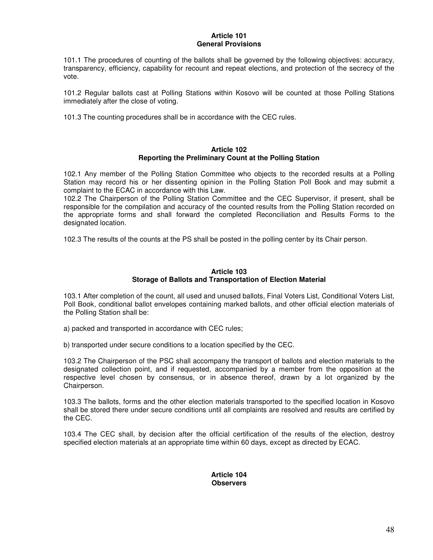#### **Article 101 General Provisions**

101.1 The procedures of counting of the ballots shall be governed by the following objectives: accuracy, transparency, efficiency, capability for recount and repeat elections, and protection of the secrecy of the vote.

101.2 Regular ballots cast at Polling Stations within Kosovo will be counted at those Polling Stations immediately after the close of voting.

101.3 The counting procedures shall be in accordance with the CEC rules.

#### **Article 102 Reporting the Preliminary Count at the Polling Station**

102.1 Any member of the Polling Station Committee who objects to the recorded results at a Polling Station may record his or her dissenting opinion in the Polling Station Poll Book and may submit a complaint to the ECAC in accordance with this Law.

102.2 The Chairperson of the Polling Station Committee and the CEC Supervisor, if present, shall be responsible for the compilation and accuracy of the counted results from the Polling Station recorded on the appropriate forms and shall forward the completed Reconciliation and Results Forms to the designated location.

102.3 The results of the counts at the PS shall be posted in the polling center by its Chair person.

## **Article 103 Storage of Ballots and Transportation of Election Material**

103.1 After completion of the count, all used and unused ballots, Final Voters List, Conditional Voters List, Poll Book, conditional ballot envelopes containing marked ballots, and other official election materials of the Polling Station shall be:

a) packed and transported in accordance with CEC rules;

b) transported under secure conditions to a location specified by the CEC.

103.2 The Chairperson of the PSC shall accompany the transport of ballots and election materials to the designated collection point, and if requested, accompanied by a member from the opposition at the respective level chosen by consensus, or in absence thereof, drawn by a lot organized by the Chairperson.

103.3 The ballots, forms and the other election materials transported to the specified location in Kosovo shall be stored there under secure conditions until all complaints are resolved and results are certified by the CEC.

103.4 The CEC shall, by decision after the official certification of the results of the election, destroy specified election materials at an appropriate time within 60 days, except as directed by ECAC.

# **Article 104 Observers**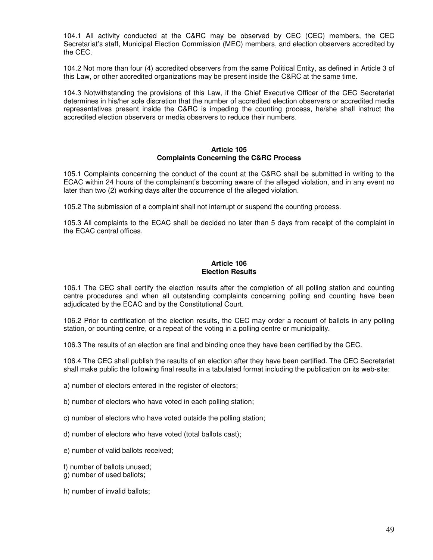104.1 All activity conducted at the C&RC may be observed by CEC (CEC) members, the CEC Secretariat's staff, Municipal Election Commission (MEC) members, and election observers accredited by the CEC.

104.2 Not more than four (4) accredited observers from the same Political Entity, as defined in Article 3 of this Law, or other accredited organizations may be present inside the C&RC at the same time.

104.3 Notwithstanding the provisions of this Law, if the Chief Executive Officer of the CEC Secretariat determines in his/her sole discretion that the number of accredited election observers or accredited media representatives present inside the C&RC is impeding the counting process, he/she shall instruct the accredited election observers or media observers to reduce their numbers.

#### **Article 105 Complaints Concerning the C&RC Process**

105.1 Complaints concerning the conduct of the count at the C&RC shall be submitted in writing to the ECAC within 24 hours of the complainant's becoming aware of the alleged violation, and in any event no later than two (2) working days after the occurrence of the alleged violation.

105.2 The submission of a complaint shall not interrupt or suspend the counting process.

105.3 All complaints to the ECAC shall be decided no later than 5 days from receipt of the complaint in the ECAC central offices.

## **Article 106 Election Results**

106.1 The CEC shall certify the election results after the completion of all polling station and counting centre procedures and when all outstanding complaints concerning polling and counting have been adjudicated by the ECAC and by the Constitutional Court.

106.2 Prior to certification of the election results, the CEC may order a recount of ballots in any polling station, or counting centre, or a repeat of the voting in a polling centre or municipality.

106.3 The results of an election are final and binding once they have been certified by the CEC.

106.4 The CEC shall publish the results of an election after they have been certified. The CEC Secretariat shall make public the following final results in a tabulated format including the publication on its web-site:

a) number of electors entered in the register of electors;

b) number of electors who have voted in each polling station;

c) number of electors who have voted outside the polling station;

d) number of electors who have voted (total ballots cast);

e) number of valid ballots received;

f) number of ballots unused;

g) number of used ballots;

h) number of invalid ballots;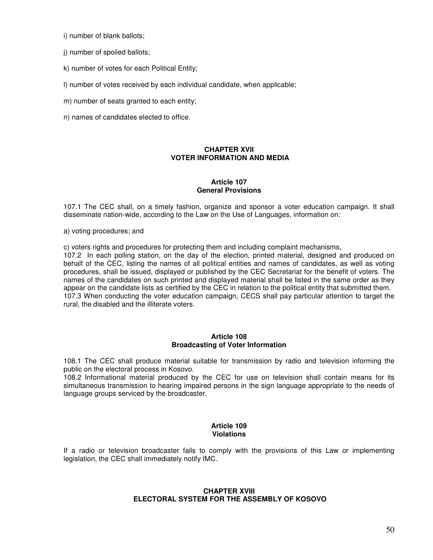i) number of blank ballots;

j) number of spoiled ballots;

k) number of votes for each Political Entity;

l) number of votes received by each individual candidate, when applicable;

m) number of seats granted to each entity;

n) names of candidates elected to office.

# **CHAPTER XVII VOTER INFORMATION AND MEDIA**

## **Article 107 General Provisions**

107.1 The CEC shall, on a timely fashion, organize and sponsor a voter education campaign. It shall disseminate nation-wide, according to the Law on the Use of Languages, information on:

a) voting procedures; and

c) voters rights and procedures for protecting them and including complaint mechanisms,

107.2 In each polling station, on the day of the election, printed material, designed and produced on behalf of the CEC, listing the names of all political entities and names of candidates, as well as voting procedures, shall be issued, displayed or published by the CEC Secretariat for the benefit of voters. The names of the candidates on such printed and displayed material shall be listed in the same order as they appear on the candidate lists as certified by the CEC in relation to the political entity that submitted them. 107.3 When conducting the voter education campaign, CECS shall pay particular attention to target the rural, the disabled and the illiterate voters.

#### **Article 108 Broadcasting of Voter Information**

108.1 The CEC shall produce material suitable for transmission by radio and television informing the public on the electoral process in Kosovo.

108.2 Informational material produced by the CEC for use on television shall contain means for its simultaneous transmission to hearing impaired persons in the sign language appropriate to the needs of language groups serviced by the broadcaster.

# **Article 109 Violations**

If a radio or television broadcaster fails to comply with the provisions of this Law or implementing legislation, the CEC shall immediately notify IMC.

## **CHAPTER XVIII ELECTORAL SYSTEM FOR THE ASSEMBLY OF KOSOVO**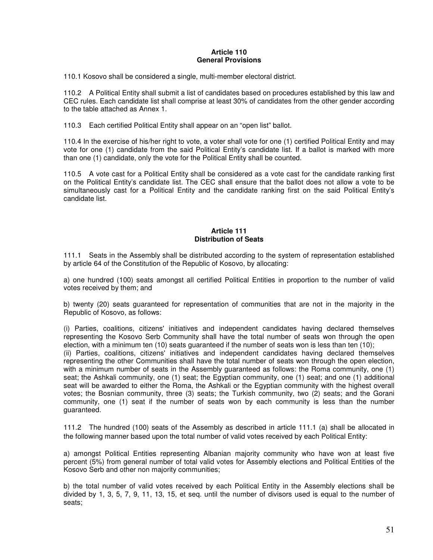#### **Article 110 General Provisions**

110.1 Kosovo shall be considered a single, multi-member electoral district.

110.2 A Political Entity shall submit a list of candidates based on procedures established by this law and CEC rules. Each candidate list shall comprise at least 30% of candidates from the other gender according to the table attached as Annex 1.

110.3 Each certified Political Entity shall appear on an "open list" ballot.

110.4 In the exercise of his/her right to vote, a voter shall vote for one (1) certified Political Entity and may vote for one (1) candidate from the said Political Entity's candidate list. If a ballot is marked with more than one (1) candidate, only the vote for the Political Entity shall be counted.

110.5 A vote cast for a Political Entity shall be considered as a vote cast for the candidate ranking first on the Political Entity's candidate list. The CEC shall ensure that the ballot does not allow a vote to be simultaneously cast for a Political Entity and the candidate ranking first on the said Political Entity's candidate list.

## **Article 111 Distribution of Seats**

111.1 Seats in the Assembly shall be distributed according to the system of representation established by article 64 of the Constitution of the Republic of Kosovo, by allocating:

a) one hundred (100) seats amongst all certified Political Entities in proportion to the number of valid votes received by them; and

b) twenty (20) seats guaranteed for representation of communities that are not in the majority in the Republic of Kosovo, as follows:

(i) Parties, coalitions, citizens' initiatives and independent candidates having declared themselves representing the Kosovo Serb Community shall have the total number of seats won through the open election, with a minimum ten (10) seats guaranteed if the number of seats won is less than ten (10);

(ii) Parties, coalitions, citizens' initiatives and independent candidates having declared themselves representing the other Communities shall have the total number of seats won through the open election, with a minimum number of seats in the Assembly guaranteed as follows: the Roma community, one (1) seat; the Ashkali community, one (1) seat; the Egyptian community, one (1) seat; and one (1) additional seat will be awarded to either the Roma, the Ashkali or the Egyptian community with the highest overall votes; the Bosnian community, three (3) seats; the Turkish community, two (2) seats; and the Gorani community, one (1) seat if the number of seats won by each community is less than the number guaranteed.

111.2 The hundred (100) seats of the Assembly as described in article 111.1 (a) shall be allocated in the following manner based upon the total number of valid votes received by each Political Entity:

a) amongst Political Entities representing Albanian majority community who have won at least five percent (5%) from general number of total valid votes for Assembly elections and Political Entities of the Kosovo Serb and other non majority communities;

b) the total number of valid votes received by each Political Entity in the Assembly elections shall be divided by 1, 3, 5, 7, 9, 11, 13, 15, et seq. until the number of divisors used is equal to the number of seats;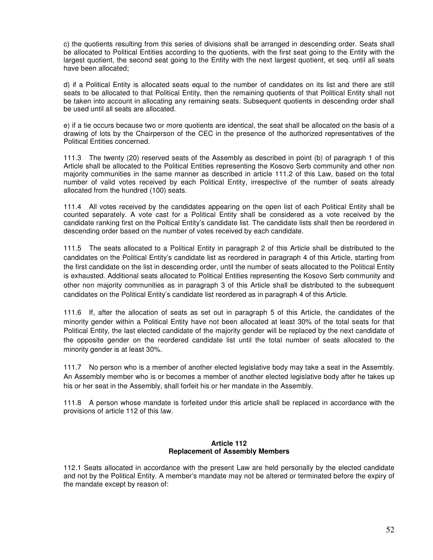c) the quotients resulting from this series of divisions shall be arranged in descending order. Seats shall be allocated to Political Entities according to the quotients, with the first seat going to the Entity with the largest quotient, the second seat going to the Entity with the next largest quotient, et seq. until all seats have been allocated;

d) if a Political Entity is allocated seats equal to the number of candidates on its list and there are still seats to be allocated to that Political Entity, then the remaining quotients of that Political Entity shall not be taken into account in allocating any remaining seats. Subsequent quotients in descending order shall be used until all seats are allocated.

e) if a tie occurs because two or more quotients are identical, the seat shall be allocated on the basis of a drawing of lots by the Chairperson of the CEC in the presence of the authorized representatives of the Political Entities concerned.

111.3 The twenty (20) reserved seats of the Assembly as described in point (b) of paragraph 1 of this Article shall be allocated to the Political Entities representing the Kosovo Serb community and other non majority communities in the same manner as described in article 111.2 of this Law, based on the total number of valid votes received by each Political Entity, irrespective of the number of seats already allocated from the hundred (100) seats.

111.4 All votes received by the candidates appearing on the open list of each Political Entity shall be counted separately. A vote cast for a Political Entity shall be considered as a vote received by the candidate ranking first on the Poltical Entity's candidate list. The candidate lists shall then be reordered in descending order based on the number of votes received by each candidate.

111.5 The seats allocated to a Political Entity in paragraph 2 of this Article shall be distributed to the candidates on the Political Entity's candidate list as reordered in paragraph 4 of this Article, starting from the first candidate on the list in descending order, until the number of seats allocated to the Political Entity is exhausted. Additional seats allocated to Political Entities representing the Kosovo Serb community and other non majority communities as in paragraph 3 of this Article shall be distributed to the subsequent candidates on the Political Entity's candidate list reordered as in paragraph 4 of this Article.

111.6 If, after the allocation of seats as set out in paragraph 5 of this Article, the candidates of the minority gender within a Political Entity have not been allocated at least 30% of the total seats for that Political Entity, the last elected candidate of the majority gender will be replaced by the next candidate of the opposite gender on the reordered candidate list until the total number of seats allocated to the minority gender is at least 30%.

111.7 No person who is a member of another elected legislative body may take a seat in the Assembly. An Assembly member who is or becomes a member of another elected legislative body after he takes up his or her seat in the Assembly, shall forfeit his or her mandate in the Assembly.

111.8 A person whose mandate is forfeited under this article shall be replaced in accordance with the provisions of article 112 of this law.

# **Article 112 Replacement of Assembly Members**

112.1 Seats allocated in accordance with the present Law are held personally by the elected candidate and not by the Political Entity. A member's mandate may not be altered or terminated before the expiry of the mandate except by reason of: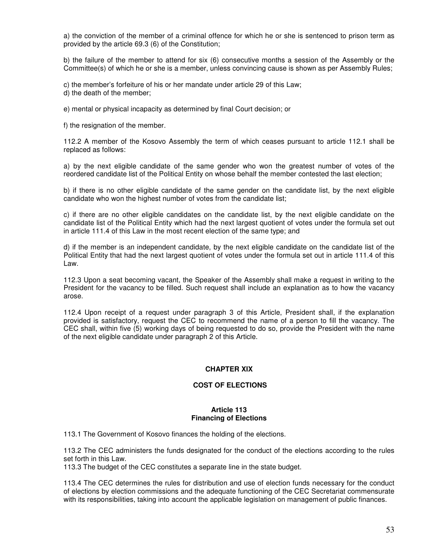a) the conviction of the member of a criminal offence for which he or she is sentenced to prison term as provided by the article 69.3 (6) of the Constitution;

b) the failure of the member to attend for six (6) consecutive months a session of the Assembly or the Committee(s) of which he or she is a member, unless convincing cause is shown as per Assembly Rules;

c) the member's forfeiture of his or her mandate under article 29 of this Law; d) the death of the member;

e) mental or physical incapacity as determined by final Court decision; or

f) the resignation of the member.

112.2 A member of the Kosovo Assembly the term of which ceases pursuant to article 112.1 shall be replaced as follows:

a) by the next eligible candidate of the same gender who won the greatest number of votes of the reordered candidate list of the Political Entity on whose behalf the member contested the last election;

b) if there is no other eligible candidate of the same gender on the candidate list, by the next eligible candidate who won the highest number of votes from the candidate list;

c) if there are no other eligible candidates on the candidate list, by the next eligible candidate on the candidate list of the Political Entity which had the next largest quotient of votes under the formula set out in article 111.4 of this Law in the most recent election of the same type; and

d) if the member is an independent candidate, by the next eligible candidate on the candidate list of the Political Entity that had the next largest quotient of votes under the formula set out in article 111.4 of this Law.

112.3 Upon a seat becoming vacant, the Speaker of the Assembly shall make a request in writing to the President for the vacancy to be filled. Such request shall include an explanation as to how the vacancy arose.

112.4 Upon receipt of a request under paragraph 3 of this Article, President shall, if the explanation provided is satisfactory, request the CEC to recommend the name of a person to fill the vacancy. The CEC shall, within five (5) working days of being requested to do so, provide the President with the name of the next eligible candidate under paragraph 2 of this Article.

# **CHAPTER XIX**

## **COST OF ELECTIONS**

#### **Article 113 Financing of Elections**

113.1 The Government of Kosovo finances the holding of the elections.

113.2 The CEC administers the funds designated for the conduct of the elections according to the rules set forth in this Law.

113.3 The budget of the CEC constitutes a separate line in the state budget.

113.4 The CEC determines the rules for distribution and use of election funds necessary for the conduct of elections by election commissions and the adequate functioning of the CEC Secretariat commensurate with its responsibilities, taking into account the applicable legislation on management of public finances.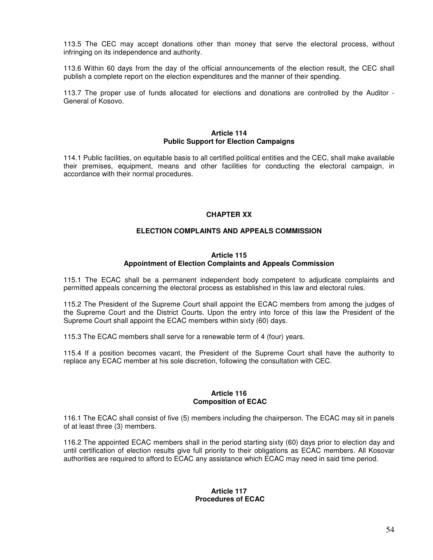113.5 The CEC may accept donations other than money that serve the electoral process, without infringing on its independence and authority.

113.6 Within 60 days from the day of the official announcements of the election result, the CEC shall publish a complete report on the election expenditures and the manner of their spending.

113.7 The proper use of funds allocated for elections and donations are controlled by the Auditor - General of Kosovo.

# **Article 114 Public Support for Election Campaigns**

114.1 Public facilities, on equitable basis to all certified political entities and the CEC, shall make available their premises, equipment, means and other facilities for conducting the electoral campaign, in accordance with their normal procedures.

# **CHAPTER XX**

# **ELECTION COMPLAINTS AND APPEALS COMMISSION**

#### **Article 115**

# **Appointment of Election Complaints and Appeals Commission**

115.1 The ECAC shall be a permanent independent body competent to adjudicate complaints and permitted appeals concerning the electoral process as established in this law and electoral rules.

115.2 The President of the Supreme Court shall appoint the ECAC members from among the judges of the Supreme Court and the District Courts. Upon the entry into force of this law the President of the Supreme Court shall appoint the ECAC members within sixty (60) days.

115.3 The ECAC members shall serve for a renewable term of 4 (four) years.

115.4 If a position becomes vacant, the President of the Supreme Court shall have the authority to replace any ECAC member at his sole discretion, following the consultation with CEC.

#### **Article 116 Composition of ECAC**

116.1 The ECAC shall consist of five (5) members including the chairperson. The ECAC may sit in panels of at least three (3) members.

116.2 The appointed ECAC members shall in the period starting sixty (60) days prior to election day and until certification of election results give full priority to their obligations as ECAC members. All Kosovar authorities are required to afford to ECAC any assistance which ECAC may need in said time period.

#### **Article 117 Procedures of ECAC**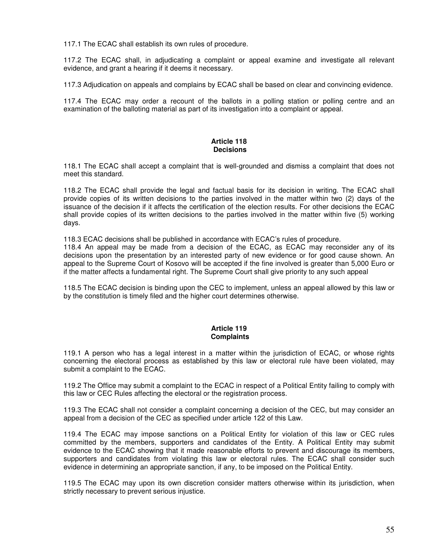117.1 The ECAC shall establish its own rules of procedure.

117.2 The ECAC shall, in adjudicating a complaint or appeal examine and investigate all relevant evidence, and grant a hearing if it deems it necessary.

117.3 Adjudication on appeals and complains by ECAC shall be based on clear and convincing evidence.

117.4 The ECAC may order a recount of the ballots in a polling station or polling centre and an examination of the balloting material as part of its investigation into a complaint or appeal.

## **Article 118 Decisions**

118.1 The ECAC shall accept a complaint that is well-grounded and dismiss a complaint that does not meet this standard.

118.2 The ECAC shall provide the legal and factual basis for its decision in writing. The ECAC shall provide copies of its written decisions to the parties involved in the matter within two (2) days of the issuance of the decision if it affects the certification of the election results. For other decisions the ECAC shall provide copies of its written decisions to the parties involved in the matter within five (5) working days.

118.3 ECAC decisions shall be published in accordance with ECAC's rules of procedure.

118.4 An appeal may be made from a decision of the ECAC, as ECAC may reconsider any of its decisions upon the presentation by an interested party of new evidence or for good cause shown. An appeal to the Supreme Court of Kosovo will be accepted if the fine involved is greater than 5,000 Euro or if the matter affects a fundamental right. The Supreme Court shall give priority to any such appeal

118.5 The ECAC decision is binding upon the CEC to implement, unless an appeal allowed by this law or by the constitution is timely filed and the higher court determines otherwise.

# **Article 119 Complaints**

119.1 A person who has a legal interest in a matter within the jurisdiction of ECAC, or whose rights concerning the electoral process as established by this law or electoral rule have been violated, may submit a complaint to the ECAC.

119.2 The Office may submit a complaint to the ECAC in respect of a Political Entity failing to comply with this law or CEC Rules affecting the electoral or the registration process.

119.3 The ECAC shall not consider a complaint concerning a decision of the CEC, but may consider an appeal from a decision of the CEC as specified under article 122 of this Law.

119.4 The ECAC may impose sanctions on a Political Entity for violation of this law or CEC rules committed by the members, supporters and candidates of the Entity. A Political Entity may submit evidence to the ECAC showing that it made reasonable efforts to prevent and discourage its members, supporters and candidates from violating this law or electoral rules. The ECAC shall consider such evidence in determining an appropriate sanction, if any, to be imposed on the Political Entity.

119.5 The ECAC may upon its own discretion consider matters otherwise within its jurisdiction, when strictly necessary to prevent serious injustice.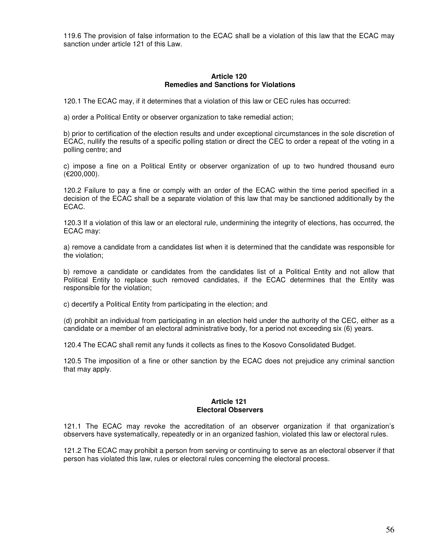119.6 The provision of false information to the ECAC shall be a violation of this law that the ECAC may sanction under article 121 of this Law.

#### **Article 120 Remedies and Sanctions for Violations**

120.1 The ECAC may, if it determines that a violation of this law or CEC rules has occurred:

a) order a Political Entity or observer organization to take remedial action;

b) prior to certification of the election results and under exceptional circumstances in the sole discretion of ECAC, nullify the results of a specific polling station or direct the CEC to order a repeat of the voting in a polling centre; and

c) impose a fine on a Political Entity or observer organization of up to two hundred thousand euro (€200,000).

120.2 Failure to pay a fine or comply with an order of the ECAC within the time period specified in a decision of the ECAC shall be a separate violation of this law that may be sanctioned additionally by the ECAC.

120.3 If a violation of this law or an electoral rule, undermining the integrity of elections, has occurred, the ECAC may:

a) remove a candidate from a candidates list when it is determined that the candidate was responsible for the violation;

b) remove a candidate or candidates from the candidates list of a Political Entity and not allow that Political Entity to replace such removed candidates, if the ECAC determines that the Entity was responsible for the violation;

c) decertify a Political Entity from participating in the election; and

(d) prohibit an individual from participating in an election held under the authority of the CEC, either as a candidate or a member of an electoral administrative body, for a period not exceeding six (6) years.

120.4 The ECAC shall remit any funds it collects as fines to the Kosovo Consolidated Budget.

120.5 The imposition of a fine or other sanction by the ECAC does not prejudice any criminal sanction that may apply.

#### **Article 121 Electoral Observers**

121.1 The ECAC may revoke the accreditation of an observer organization if that organization's observers have systematically, repeatedly or in an organized fashion, violated this law or electoral rules.

121.2 The ECAC may prohibit a person from serving or continuing to serve as an electoral observer if that person has violated this law, rules or electoral rules concerning the electoral process.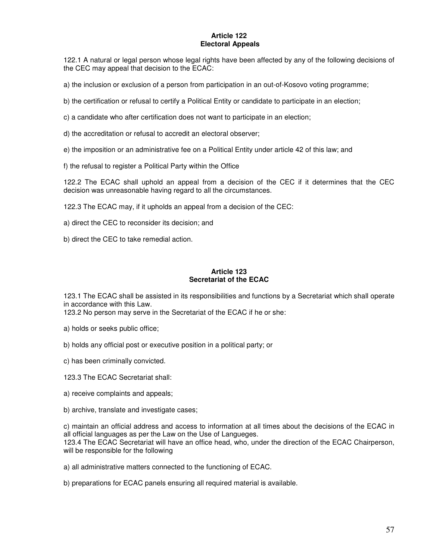# **Article 122 Electoral Appeals**

122.1 A natural or legal person whose legal rights have been affected by any of the following decisions of the CEC may appeal that decision to the ECAC:

a) the inclusion or exclusion of a person from participation in an out-of-Kosovo voting programme;

b) the certification or refusal to certify a Political Entity or candidate to participate in an election;

c) a candidate who after certification does not want to participate in an election;

- d) the accreditation or refusal to accredit an electoral observer;
- e) the imposition or an administrative fee on a Political Entity under article 42 of this law; and
- f) the refusal to register a Political Party within the Office

122.2 The ECAC shall uphold an appeal from a decision of the CEC if it determines that the CEC decision was unreasonable having regard to all the circumstances.

122.3 The ECAC may, if it upholds an appeal from a decision of the CEC:

a) direct the CEC to reconsider its decision; and

b) direct the CEC to take remedial action.

# **Article 123 Secretariat of the ECAC**

123.1 The ECAC shall be assisted in its responsibilities and functions by a Secretariat which shall operate in accordance with this Law.

123.2 No person may serve in the Secretariat of the ECAC if he or she:

- a) holds or seeks public office;
- b) holds any official post or executive position in a political party; or
- c) has been criminally convicted.
- 123.3 The ECAC Secretariat shall:
- a) receive complaints and appeals;
- b) archive, translate and investigate cases;

c) maintain an official address and access to information at all times about the decisions of the ECAC in all official languages as per the Law on the Use of Langueges. 123.4 The ECAC Secretariat will have an office head, who, under the direction of the ECAC Chairperson, will be responsible for the following

a) all administrative matters connected to the functioning of ECAC.

b) preparations for ECAC panels ensuring all required material is available.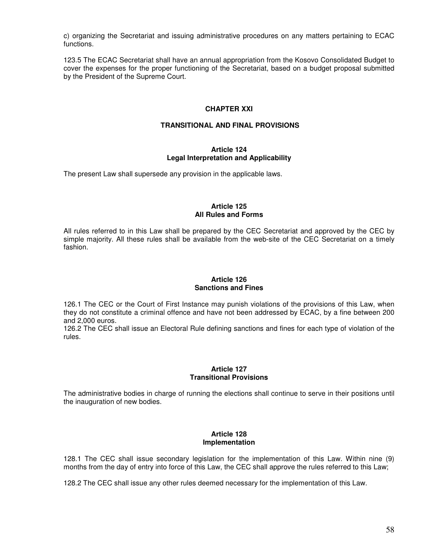c) organizing the Secretariat and issuing administrative procedures on any matters pertaining to ECAC functions.

123.5 The ECAC Secretariat shall have an annual appropriation from the Kosovo Consolidated Budget to cover the expenses for the proper functioning of the Secretariat, based on a budget proposal submitted by the President of the Supreme Court.

## **CHAPTER XXI**

# **TRANSITIONAL AND FINAL PROVISIONS**

## **Article 124 Legal Interpretation and Applicability**

The present Law shall supersede any provision in the applicable laws.

#### **Article 125 All Rules and Forms**

All rules referred to in this Law shall be prepared by the CEC Secretariat and approved by the CEC by simple majority. All these rules shall be available from the web-site of the CEC Secretariat on a timely fashion.

# **Article 126 Sanctions and Fines**

126.1 The CEC or the Court of First Instance may punish violations of the provisions of this Law, when they do not constitute a criminal offence and have not been addressed by ECAC, by a fine between 200 and 2,000 euros.

126.2 The CEC shall issue an Electoral Rule defining sanctions and fines for each type of violation of the rules.

# **Article 127 Transitional Provisions**

The administrative bodies in charge of running the elections shall continue to serve in their positions until the inauguration of new bodies.

# **Article 128 Implementation**

128.1 The CEC shall issue secondary legislation for the implementation of this Law. Within nine (9) months from the day of entry into force of this Law, the CEC shall approve the rules referred to this Law;

128.2 The CEC shall issue any other rules deemed necessary for the implementation of this Law.